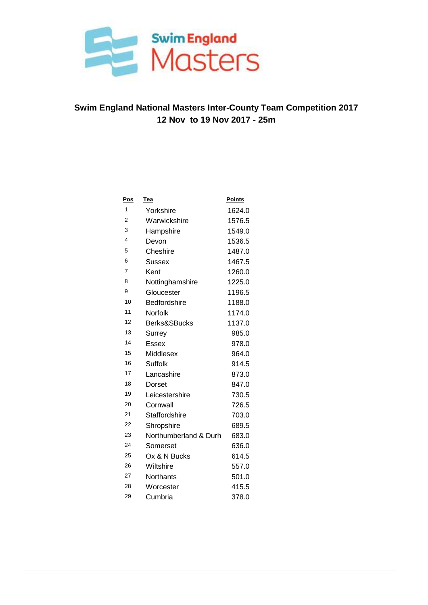

| <u>Pos</u>     | <b>Tea</b>            | <b>Points</b> |
|----------------|-----------------------|---------------|
| 1              | Yorkshire             | 1624.0        |
| $\overline{2}$ | Warwickshire          | 1576.5        |
| 3              | Hampshire             | 1549.0        |
| 4              | Devon                 | 1536.5        |
| 5              | Cheshire              | 1487.0        |
| 6              | Sussex                | 1467.5        |
| $\overline{7}$ | Kent                  | 1260.0        |
| 8              | Nottinghamshire       | 1225.0        |
| 9              | Gloucester            | 1196.5        |
| 10             | <b>Bedfordshire</b>   | 1188.0        |
| 11             | Norfolk               | 1174.0        |
| 12             | Berks&SBucks          | 1137.0        |
| 13             | Surrey                | 985.0         |
| 14             | Essex                 | 978.0         |
| 15             | Middlesex             | 964.0         |
| 16             | Suffolk               | 914.5         |
| 17             | Lancashire            | 873.0         |
| 18             | Dorset                | 847.0         |
| 19             | Leicestershire        | 730.5         |
| 20             | Cornwall              | 726.5         |
| 21             | Staffordshire         | 703.0         |
| 22             | Shropshire            | 689.5         |
| 23             | Northumberland & Durh | 683.0         |
| 24             | Somerset              | 636.0         |
| 25             | Ox & N Bucks          | 614.5         |
| 26             | Wiltshire             | 557.0         |
| 27             | <b>Northants</b>      | 501.0         |
| 28             | Worcester             | 415.5         |
| 29             | Cumbria               | 378.0         |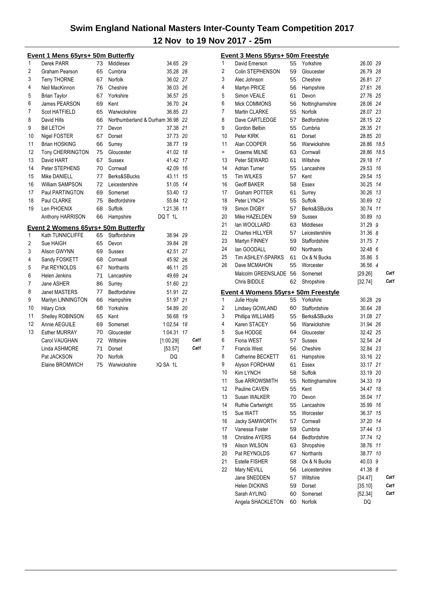|                | <u> Event 1 Mens 65yrs+ 50m Butterfly</u>  |    |                                  |            |    |      |
|----------------|--------------------------------------------|----|----------------------------------|------------|----|------|
| 1              | Derek PARR                                 | 73 | Middlesex                        | 34.65 29   |    |      |
| $\overline{c}$ | Graham Pearson                             | 65 | Cumbria                          | 35.28 28   |    |      |
| 3              | Terry THORNE                               | 67 | Norfolk                          | 36.02 27   |    |      |
| 4              | Neil MacKinnon                             | 76 | Cheshire                         | 36.03 26   |    |      |
| 5              | <b>Brian Taylor</b>                        | 67 | Yorkshire                        | 36.57 25   |    |      |
| 6              | James PEARSON                              | 69 | Kent                             | 36.70 24   |    |      |
| 7              | Scot HATFIELD                              | 65 | Warwickshire                     | 36.85 23   |    |      |
| 8              | David Hills                                | 66 | Northumberland & Durham 36.98 22 |            |    |      |
| 9              | <b>Bill LETCH</b>                          | 77 | Devon                            | 37.38 21   |    |      |
| 10             | Nigel FOSTER                               | 67 | Dorset                           | 37.73 20   |    |      |
| 11             | <b>Brian HOSKING</b>                       | 66 | Surrey                           | 38.77 19   |    |      |
| 12             | <b>Tony CHERRINGTON</b>                    | 75 | Gloucester                       | 41.02 18   |    |      |
| 13             | David HART                                 | 67 | Sussex                           | 41.42      | 17 |      |
| 14             | Peter STEPHENS                             | 70 | Cornwall                         | 42.09 16   |    |      |
| 15             | Mike DANIELL                               | 77 | Berks&SBucks                     | 43.11      | 15 |      |
| 16             | William SAMPSON                            | 72 | Leicestershire                   | 51.05 14   |    |      |
| 17             | Paul PARTINGTON                            | 69 | Somerset                         | 53.40 13   |    |      |
| 18             | Paul CLARKE                                | 75 | Bedfordshire                     | 55.84 12   |    |      |
| 19             | Len PHOENIX                                | 68 | Suffolk                          | 1:21.36 11 |    |      |
|                | Anthony HARRISON                           | 66 | Hampshire                        | DQ T 1L    |    |      |
|                | <b>Event 2 Womens 65yrs+ 50m Butterfly</b> |    |                                  |            |    |      |
| 1              | Kath TUNNICLIFFE                           | 65 | <b>Staffordshire</b>             | 38.94 29   |    |      |
| $\overline{c}$ | Sue HAIGH                                  | 65 | Devon                            | 39.84 28   |    |      |
| 3              | Alison GWYNN                               | 69 | Sussex                           | 42.51 27   |    |      |
| 4              | Sandy FOSKETT                              | 68 | Cornwall                         | 45.92 26   |    |      |
| 5              | Pat REYNOLDS                               | 67 | <b>Northants</b>                 | 46.11 25   |    |      |
| 6              | Helen Jenkins                              | 71 | Lancashire                       | 49.69 24   |    |      |
| 7              | Jane ASHER                                 | 86 | Surrey                           | 51.60 23   |    |      |
| 8              | <b>Janet MASTERS</b>                       | 77 | Bedfordshire                     | 51.91 22   |    |      |
| 9              | Marilyn LINNINGTON                         | 66 | Hampshire                        | 51.97 21   |    |      |
| 10             | <b>Hilary Crick</b>                        | 68 | Yorkshire                        | 54.89 20   |    |      |
| 11             | Shelley ROBINSON                           | 65 | Kent                             | 56.68 19   |    |      |
| 12             | Annie AEGUILE                              | 69 | Somerset                         | 1:02.54    | 18 |      |
| 13             | <b>Esther MURRAY</b>                       | 70 | Gloucester                       | 1:04.31    | 17 |      |
|                | Carol VAUGHAN                              | 72 | Wiltshire                        | [1:00.29]  |    | Cat1 |
|                | Linda ASHMORE                              | 71 | Dorset                           | [53.57]    |    | Cat1 |
|                | Pat JACKSON                                | 70 | Norfolk                          | DQ         |    |      |
|                | Elaine BROMWICH                            | 75 | Warwickshire                     | IQ SA 1L   |    |      |

|     | Event 3 Mens 55yrs+ 50m Freestyle   |    |                  |                    |      |
|-----|-------------------------------------|----|------------------|--------------------|------|
| 1   | David Emerson                       | 55 | Yorkshire        | 26.00 29           |      |
| 2   | Colin STEPHENSON                    | 59 | Gloucester       | 26.79 28           |      |
| 3   | Alec Johnson                        | 55 | Cheshire         | 26.81 27           |      |
| 4   | Martyn PRICE                        | 56 | Hampshire        | 27.61 26           |      |
| 5   | Simon VEALE                         | 61 | Devon            | 27.76 25           |      |
| 6   | Mick COMMONS                        | 56 | Nottinghamshire  | 28.06 24           |      |
| 7   | Martin CLARKE                       | 55 | <b>Norfolk</b>   | 28.07 23           |      |
| 8   | Dave CARTLEDGE                      | 57 | Bedfordshire     | 28.15 22           |      |
| 9   | Gordon Belbin                       | 55 | Cumbria          | 28.35 21           |      |
| 10  | Peter KIRK                          | 61 | Dorset           | 28.85 20           |      |
| 11  | Alan COOPER                         | 56 | Warwickshire     | 28.86 18.5         |      |
| $=$ | Graeme MILNE                        | 63 | Cornwall         | 28.86 18.5         |      |
| 13  | Peter SEWARD                        | 61 | Wiltshire        | 29.18 17           |      |
| 14  | Adrian Turner                       | 55 | Lancashire       | 29.53 16           |      |
| 15  | <b>Tim WILKES</b>                   | 57 | Kent             | 29.54 15           |      |
| 16  | <b>Geoff BAKER</b>                  | 58 | Essex            | 30.25              | 14   |
| 17  | Graham POTTER                       | 61 | Surrey           | 30.26              | 13   |
| 18  | Peter LYNCH                         | 55 | Suffolk          | 30.69              | 12   |
| 19  | Simon DIGBY                         | 57 | Berks&SBucks     | 30.74 11           |      |
| 20  | Mike HAZELDEN                       | 59 | Sussex           | 30.89 10           |      |
| 21  | lan WOOLLARD                        | 63 | Middlesex        | 31.29 9            |      |
| 22  | Charles HILLYER                     | 57 | Leicestershire   | 31.368             |      |
| 23  | Martyn FINNEY                       | 59 | Staffordshire    | 31.75 7            |      |
| 24  | lan GOODALL                         | 60 | Northants        | 32.48 6            |      |
| 25  | Tim ASHLEY-SPARKS                   | 61 | Ox & N Bucks     | 35.86 5            |      |
| 26  | Dave MCMAHON                        | 55 | Worcester        | 36.56 4            |      |
|     | Malcolm GREENSLADE                  | 56 | Somerset         | [29.26]            | Cat1 |
|     | Chris BIDDLE                        | 62 | Shropshire       | [32.74]            | Cat1 |
|     |                                     |    |                  |                    |      |
|     | Event 4 Womens 55yrs+ 50m Freestyle |    |                  |                    |      |
| 1   | Julie Hoyle                         | 55 | Yorkshire        | 30.28 29           |      |
| 2   | Lindsey GOWLAND                     | 60 | Staffordshire    | 30.64 28           |      |
| 3   | Phillipa WILLIAMS                   | 55 | Berks&SBucks     | 31.08 27           |      |
| 4   | Karen STACEY                        | 56 | Warwickshire     | 31.94 26           |      |
| 5   | Sue HODGE                           | 64 | Gloucester       | 32.42 25           |      |
| 6   | Fiona WEST                          | 57 | Sussex           | 32.54 24           |      |
| 7   | <b>Francis West</b>                 | 56 | Cheshire         | 32.84 23           |      |
| 8   | Catherine BECKETT                   | 61 | Hampshire        | 33.16 22           |      |
| 9   | Alyson FORDHAM                      | 61 | Essex            | 33.17 21           |      |
| 10  | Kim LYNCH                           | 58 | Suffolk          | 33.19              | 20   |
| 11  | Sue ARROWSMITH                      | 55 | Nottinghamshire  | 34.33              | 19   |
| 12  | Pauline CAVEN                       | 55 | Kent             | 34.47              | 18   |
| 13  | Susan WALKER                        | 70 | Devon            | 35.04              | 17   |
| 14  | <b>Ruthie Cartwiright</b>           | 55 | Lancashire       | 35.99              | 16   |
| 15  |                                     |    |                  |                    |      |
| 16  | Sue WATT                            | 55 | Worcester        | 36.37              | 15   |
|     | Jacky SAMWORTH                      | 57 | Cornwall         | 37.20              | 14   |
| 17  | Vanessa Foster                      | 59 | Cumbria          | 37.44              | 13   |
| 18  | <b>Christine AYERS</b>              | 64 | Bedfordshire     | 37.74              | 12   |
| 19  | Alison WILSON                       | 63 | Shropshire       | 38.76              | 11   |
| 20  | Pat REYNOLDS                        | 67 | <b>Northants</b> | 38.77              | 10   |
| 21  | Estelle FISHER                      | 58 | Ox & N Bucks     | 40.03 9            |      |
| 22  | Mary NEVILL                         | 56 | Leicestershire   | 41.38 8            |      |
|     | Jane SNEDDEN                        | 57 | Wiltshire        |                    | Cat1 |
|     | Helen DICKINS                       | 59 | Dorset           | [34.47]<br>[35.10] | Cat1 |
|     | Sarah AYLING                        | 60 | Somerset         | [52.34]            | Cat1 |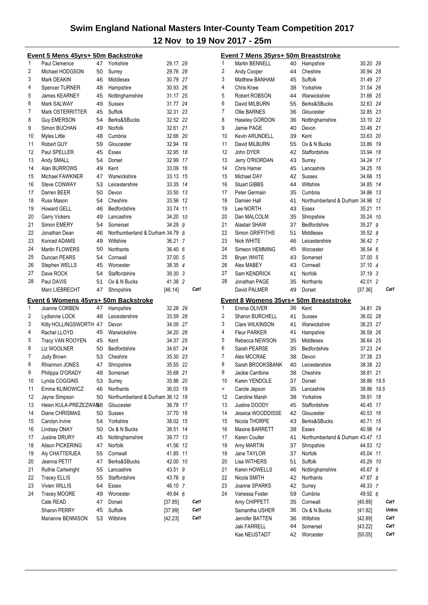|                | <u> Event 5 Mens 45yrs+ 50m Backstroke</u>  |    |                                 |          |    |      |
|----------------|---------------------------------------------|----|---------------------------------|----------|----|------|
| 1              | Paul Clemence                               | 47 | Yorkshire                       | 29.17 29 |    |      |
| $\overline{2}$ | Michael HODGSON                             | 50 | Surrey                          | 29.76 28 |    |      |
| 3              | Mark DEAKIN                                 | 46 | Middlesex                       | 30.79 27 |    |      |
| 4              | <b>Spencer TURNER</b>                       | 48 | Hampshire                       | 30.93 26 |    |      |
| 5              | <b>James KEARNEY</b>                        | 45 | Nottinghamshire                 | 31.17 25 |    |      |
| 6              | Mark SALWAY                                 | 49 | Sussex                          | 31.77 24 |    |      |
| 7              | Mark OSTERRITTER                            | 45 | Suffolk                         | 32.31 23 |    |      |
| 8              | <b>Guy EMERSON</b>                          | 54 | Berks&SBucks                    | 32.52 22 |    |      |
| 9              | Simon BUCHAN                                | 49 | Norfolk                         | 32.61 21 |    |      |
| 10             | Myles Little                                | 48 | Cumbria                         | 32.66 20 |    |      |
| 11             | Robert GUY                                  | 59 | Gloucester                      | 32.94 19 |    |      |
| 12             | Paul SPELLER                                | 45 | Essex                           | 32.95 18 |    |      |
| 13             | Andy SMALL                                  | 54 | Dorset                          | 32.99 17 |    |      |
| 14             | Alan BURROWS                                | 49 | Kent                            | 33.09 16 |    |      |
| 15             | Michael FAWKNER                             | 47 | Warwickshire                    | 33.13 15 |    |      |
| 16             | Steve CONWAY                                | 53 | Leicestershire                  | 33.35 14 |    |      |
| 17             | Darren BEER                                 | 50 | Devon                           | 33.50 13 |    |      |
| 18             | Russ Mason                                  | 54 | Cheshire                        | 33.56 12 |    |      |
| 19             | Howard GELL                                 | 46 | Bedfordshire                    | 33.74 11 |    |      |
| 20             | Garry Vickers                               | 49 | Lancashire                      | 34.20 10 |    |      |
| 21             | Simon EMERY                                 | 54 | Somerset                        | 34.29    | 9  |      |
| 22             | Jonathan Dean                               | 46 | Northumberland & Durham 34.79 8 |          |    |      |
| 23             | Konrad ADAMS                                | 49 | Wiltshire                       | 36.21    | -7 |      |
| 24             | <b>Martin FLOWERS</b>                       | 50 | Northants                       | 36.40 6  |    |      |
| 25             | Duncan PEARS                                | 54 | Cornwall                        | 37.00 5  |    |      |
| 26             | Stephen WELLS                               | 45 | Worcester                       | 38.35 4  |    |      |
| 27             | Dave ROCK                                   | 54 | Staffordshire                   | 39.30 3  |    |      |
| 28             | Paul DAVIS                                  | 51 | Ox & N Bucks                    | 41.38 2  |    |      |
|                | Marc LIEBRECHT                              | 47 | Shropshire                      | [46.14]  |    | Cat1 |
|                |                                             |    |                                 |          |    |      |
|                | <u>Event 6 Womens 45yrs+ 50m Backstroke</u> |    |                                 |          |    |      |
| 1              | Joanne CORBEN                               | 47 | Hampshire                       | 32.28 29 |    |      |
| 2              | Lydianne LOCK                               | 48 | Leicestershire                  | 33.59 28 |    |      |
| 3              | Kitty HOLLINGSWORTH 47                      |    | Devon                           | 34.09 27 |    |      |
| 4              | Rachel LLOYD                                | 45 | Warwickshire                    | 34.20 26 |    |      |
| 5              | Tracy VAN ROOYEN                            | 45 | Kent                            | 34.37 25 |    |      |
| 6              | Liz WOOLNER                                 | 50 | Bedfordshire                    | 34.67 24 |    |      |
| 7              | <b>Judy Brown</b>                           | 53 | Cheshire                        | 35.30 23 |    |      |
| 8              | Rhiannon JONES                              | 47 | Shropshire                      | 35.55 22 |    |      |
| 9              | Philippa O'GRADY                            | 48 | Somerset                        | 35.68 21 |    |      |
| 10             | Lynda COGGINS                               | 53 | Surrey                          | 35.96 20 |    |      |
| 11             | Emma KLIMOWICZ                              | 46 | Northants                       | 36.03 19 |    |      |
| 12             | Jayne Simpson                               | 50 | Northumberland & Durham 36.12   |          | 18 |      |
| 13             | Helen KULA-PREZEZWA58                       |    | Gloucester                      | 36.78    | 17 |      |
| 14             | Diane CHRISMAS                              | 50 | Sussex                          | 37.70    | 16 |      |
| 15             | Carolyn Irvine                              | 54 | Yorkshire                       | 38.02    | 15 |      |
| 16             | Lindsay ONAY                                | 50 | Ox & N Bucks                    | 38.51    | 14 |      |
| 17             | <b>Justine DRURY</b>                        | 45 | Nottinghamshire                 | 39.77    | 13 |      |
| 18             | Alison PICKERING                            | 47 | Norfolk                         | 41.56    | 12 |      |
| 19             | Aly CHATTERJEA                              | 55 | Cornwall                        | 41.85    | 11 |      |
| 20             | Jeanna PETIT                                | 47 | Berks&SBucks                    | 42.00    | 10 |      |
| 21             | <b>Ruthie Cartwiright</b>                   | 55 | Lancashire                      | 43.51    | 9  |      |
| 22             | <b>Tracey ELLIS</b>                         | 55 | Staffordshire                   | 43.76 8  |    |      |
| 23             | Vivien WILLIS                               | 64 | Essex                           | 46.10 7  |    |      |
| 24             | <b>Tracey MOORE</b>                         | 49 | Worcester                       | 49.84    | 6  |      |
|                | Cate READ                                   | 47 | Dorset                          | [37.85]  |    | Cat1 |
|                | Sharon PERRY                                | 45 | Suffolk                         | [37.99]  |    | Cat1 |
|                | Marianne BENNISON                           | 53 | Wiltshire                       | [42.23]  |    | Cat1 |
|                |                                             |    |                                 |          |    |      |

|     | <u> Event 7 Mens 35yrs+ 50m Breaststroke</u> |    |                                        |                    |      |       |
|-----|----------------------------------------------|----|----------------------------------------|--------------------|------|-------|
| 1   | Martin BENNELL                               | 40 | Hampshire                              | 30.20 29           |      |       |
| 2   | Andy Cooper                                  | 44 | Cheshire                               | 30.94 28           |      |       |
| 3   | Matthew BANHAM                               | 45 | Suffolk                                | 31.49 27           |      |       |
| 4   | Chris Knee                                   | 38 | Yorkshire                              | 31.54 26           |      |       |
| 5   | Robert ROBSON                                | 44 | Warwickshire                           | 31.66 25           |      |       |
| 6   | David MILBURN                                | 55 | Berks&SBucks                           | 32.63 24           |      |       |
| 7   | <b>Ollie BARNES</b>                          | 36 | Gloucester                             | 32.85 23           |      |       |
| 8   | Haseley GORDON                               | 36 | Nottinghamshire                        | 33.10 22           |      |       |
| 9   | Jamie PAGE                                   | 40 | Devon                                  | 33.46 21           |      |       |
| 10  | Kevin ARUNDELL                               | 39 | Kent                                   | 33.63 20           |      |       |
| 11  | David MILBURN                                | 55 | Ox & N Bucks                           | 33.86 19           |      |       |
| 12  | John DYER                                    | 42 | Staffordshire                          | 33.94 18           |      |       |
| 13  | Jerry O'RIORDAN                              | 43 | Surrey                                 | 34.24 17           |      |       |
| 14  | Chris Hamer                                  | 45 | Lancashire                             | 34.25 16           |      |       |
| 15  | Michael DAY                                  | 42 | Sussex                                 | 34.66 15           |      |       |
| 16  | <b>Stuart GIBBS</b>                          | 44 | Wiltshire                              | 34.85 14           |      |       |
| 17  | Peter Germain                                | 35 | Cumbria                                | 34.86 13           |      |       |
| 18  | Damien Hall                                  | 41 | Northumberland & Durham 34.96 12       |                    |      |       |
| 19  | Lee NORTH                                    | 43 | Essex                                  | 35.21 11           |      |       |
| 20  | Dan MALCOLM                                  | 35 | Shropshire                             | 35.24 10           |      |       |
| 21  | Alastair SHAW                                | 37 | Bedfordshire                           | 35.27 9            |      |       |
| 22  | Simon GRIFFITHS                              | 51 | Middlesex                              | 35.52 8            |      |       |
| 23  | <b>Nick WHITE</b>                            | 46 | Leicestershire                         | 36.42 7            |      |       |
| 24  | Simeon HEMMING                               | 45 | Worcester                              | 36.54 6            |      |       |
| 25  |                                              |    |                                        |                    |      |       |
| 26  | Bryan WHITE                                  | 43 | Somerset                               | 37.00 5            |      |       |
| 27  | Alex MABEY                                   | 43 | Cornwall                               | 37.10 4            |      |       |
|     | Sam KENDRICK                                 | 41 | Norfolk                                | 37.19 3            |      |       |
| 28  | Jonathan PAGE                                | 35 | Northants                              | 42.01 2            |      |       |
|     | David PALMER                                 | 49 | Dorset                                 | [37.36]            |      | Cat1  |
|     |                                              |    |                                        |                    |      |       |
|     |                                              |    | Event 8 Womens 35yrs+ 50m Breaststroke |                    |      |       |
| 1   | Emma OLIVER                                  | 36 | Kent                                   | 34.81 29           |      |       |
| 2   | <b>Sharon BURCHELL</b>                       | 41 | Sussex                                 | 36.02 28           |      |       |
| 3   | Clare WILKINSON                              | 41 | Warwickshire                           | 36.23 27           |      |       |
| 4   | <b>Fleur PARKER</b>                          | 41 | Hampshire                              | 36.59 26           |      |       |
| 5   | Rebecca NEWSON                               | 35 | Middlesex                              | 36.64 25           |      |       |
| 6   | Sarah PEARSE                                 | 35 | Bedfordshire                           | 37.23 24           |      |       |
| 7   | Alex MCCRAE                                  | 38 | Devon                                  | 37.38 23           |      |       |
| 8   | Sarah BROOKSBANK                             | 40 | Leicestershire                         | 38.38 22           |      |       |
| 9   | Jackie Carribine                             | 38 | Cheshire                               | 38.81              | 21   |       |
| 10  | Karen YENDOLE                                | 37 | Dorset                                 | 38.86 19.5         |      |       |
| $=$ | Carole Jepson                                | 35 | Lancashire                             | 38.86              | 19.5 |       |
| 12  | Caroline Marsh                               | 38 | Yorkshire                              | 39.91              | 18   |       |
| 13  | Justine DOODY                                | 45 | Staffordshire                          | 40.45              | 17   |       |
| 14  | Jessica WOODDISSE                            | 42 | Gloucester                             | 40.53              | 16   |       |
| 15  | Nicola THORPE                                | 43 | Berks&SBucks                           | 40.71              | 15   |       |
| 16  | <b>Maxine BARRETT</b>                        | 38 | Essex                                  | 40.98              | 14   |       |
| 17  | Karen Coulter                                | 41 | Northumberland & Durham 43.47          |                    | 13   |       |
| 18  | Amy MARTIN                                   | 37 | Shropshire                             | 44.53 12           |      |       |
| 19  | Jane TAYLOR                                  | 37 | <b>Norfolk</b>                         | 45.04 11           |      |       |
| 20  | Lisa WITHERS                                 | 51 | <b>Suffolk</b>                         | 45.29 10           |      |       |
| 21  | Karen HOWELLS                                | 46 |                                        | 45.67 9            |      |       |
| 22  | Nicola SMITH                                 | 42 | Nottinghamshire<br>Northants           | 47.67 8            |      |       |
| 23  | Joanne SPARKS                                | 42 | Surrey                                 | 48.33 7            |      |       |
| 24  | Vanessa Foster                               | 59 | Cumbria                                | 49.92 6            |      |       |
|     | Amy CHIPPETT                                 | 35 | Cornwall                               | [40.89]            |      | Cat1  |
|     | Samantha USHER                               | 36 |                                        | [41.92]            |      | Unkno |
|     | Jennifer BATTEN                              | 36 | Ox & N Bucks<br>Wiltshire              |                    |      | Cat1  |
|     | Jaki FARRELL                                 | 44 | Somerset                               | [42.89]<br>[43.22] |      | Cat1  |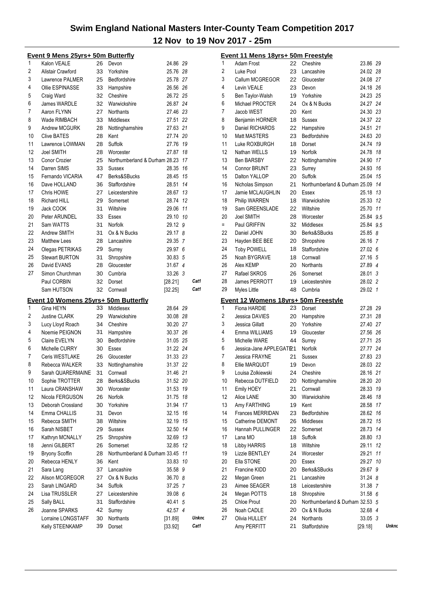|          | <u> Event 9 Mens 25yrs+ 50m Butterfly</u> |    |                                  |          |              |
|----------|-------------------------------------------|----|----------------------------------|----------|--------------|
| 1        | Kalon VEALE                               | 26 | Devon                            | 24.86 29 |              |
| 2        | Alistair Crawford                         | 33 | Yorkshire                        | 25.76 28 |              |
| 3        | Lawrence PALMER                           | 25 | Bedfordshire                     | 25.78 27 |              |
| 4        | Ollie ESPINASSE                           |    | 33 Hampshire                     | 26.56 26 |              |
| 5        | Craig Ward                                | 32 | Cheshire                         | 26.72 25 |              |
| 6        | James WARDLE                              | 32 | Warwickshire                     | 26.87 24 |              |
| 7        | Aaron FLYNN                               | 27 | <b>Northants</b>                 | 27.46 23 |              |
| 8        | Wade RIMBACH                              | 33 | Middlesex                        | 27.51 22 |              |
| 9        | Andrew MCGURK                             | 28 | Nottinghamshire                  | 27.63 21 |              |
| 10       | <b>Clive BATES</b>                        | 28 | Kent                             | 27.74 20 |              |
| 11       | Lawrence LOWMAN                           | 28 | Suffolk                          | 27.76 19 |              |
| 12       | Joel SMITH                                | 28 | Worcester                        | 27.87 18 |              |
| 13       |                                           |    |                                  |          |              |
|          | Conor Crozier                             | 25 | Northumberland & Durham 28.23 17 |          |              |
| 14       | Darren SIMS                               | 33 | Sussex                           | 28.35 16 |              |
| 15       | Fernando VICARIA                          | 47 | Berks&SBucks                     | 28.45 15 |              |
| 16       | Dave HOLLAND                              | 36 | Staffordshire                    | 28.51 14 |              |
| 17       | Chris HOWE                                | 27 | Leicestershire                   | 28.67 13 |              |
| 18       | <b>Richard HILL</b>                       | 29 | Somerset                         | 28.74 12 |              |
| 19       | Jack COOK                                 | 31 | Wiltshire                        | 29.06 11 |              |
| 20       | Peter ARUNDEL                             | 33 | Essex                            | 29.10 10 |              |
| 21       | Sam WATTS                                 | 31 | Norfolk                          | 29.12 9  |              |
| 22       | Andrew SMITH                              | 31 | Ox & N Bucks                     | 29.17 8  |              |
| 23       | <b>Matthew Lees</b>                       | 28 | Lancashire                       | 29.35 7  |              |
| 24       | Olegas PETRIKAS                           | 29 | Surrey                           | 29.97 6  |              |
| 25       | <b>Stewart BURTON</b>                     | 31 | Shropshire                       | 30.83 5  |              |
| 26       | David EVANS                               | 28 | Gloucester                       | 31.67 4  |              |
| 27       | Simon Churchman                           | 30 | Cumbria                          | 33.26 3  |              |
|          | Paul CORBIN                               | 32 | Dorset                           | [28.21]  | Cat1         |
|          |                                           |    |                                  |          |              |
|          |                                           |    |                                  |          |              |
|          | Sam HUTSON                                | 32 | Cornwall                         | [32.25]  | Cat1         |
|          | Event 10 Womens 25yrs+ 50m Butterfly      |    |                                  |          |              |
| 1        | Gina HEYN                                 | 33 | Middlesex                        | 28.64 29 |              |
| 2        | <b>Justine CLARK</b>                      | 29 | Warwickshire                     | 30.08 28 |              |
| 3        | Lucy Lloyd Roach                          | 34 | Cheshire                         | 30.20 27 |              |
| 4        | Noemie PEIGNON                            | 31 | Hampshire                        | 30.37 26 |              |
| 5        | Claire EVELYN                             | 30 | Bedfordshire                     | 31.05 25 |              |
| 6        | Michelle CURRY                            | 30 | Essex                            | 31.22 24 |              |
| 7        | Ceris WESTLAKE                            | 26 | Gloucester                       | 31.33 23 |              |
| 8        | Rebecca WALKER                            | 33 | Nottinghamshire                  | 31.37 22 |              |
| 9        | Sarah QUARERMAINE                         | 31 | Cornwall                         | 31.46 21 |              |
|          |                                           | 28 |                                  |          |              |
| 10<br>11 | Sophie TROTTER                            |    | Berks&SBucks<br>Worcester        | 31.52 20 |              |
|          | Laura CRANSHAW                            | 30 |                                  | 31.53 19 |              |
| 12       | Nicola FERGUSON                           | 26 | Norfolk                          | 31.75 18 |              |
| 13       | Deborah Crossland                         | 30 | Yorkshire                        | 31.94 17 |              |
| 14       | Emma CHALLIS                              | 31 | Devon                            | 32.15 16 |              |
| 15       | Rebecca SMITH                             | 38 | Wiltshire                        | 32.19 15 |              |
| 16       | Sarah NISBET                              | 29 | Sussex                           | 32.50 14 |              |
| 17       | Kathryn MCNALLY                           | 25 | Shropshire                       | 32.69 13 |              |
| 18       | Jenni GILBERT                             | 26 | Somerset                         | 32.85 12 |              |
| 19       | <b>Bryony Scoffin</b>                     | 28 | Northumberland & Durham 33.45 11 |          |              |
| 20       | Rebecca HENLY                             | 36 | Kent                             | 33.83 10 |              |
| 21       | Sara Lang                                 | 37 | Lancashire                       | 35.58 9  |              |
| 22       | Alison MCGREGOR                           | 27 | Ox & N Bucks                     | 36.70 8  |              |
| 23       | Sarah LINGARD                             | 34 | Suffolk                          | 37.25 7  |              |
| 24       | Lisa TRUSSLER                             | 27 | Leicestershire                   | 39.08 6  |              |
| 25       | Sally BALL                                | 31 | Staffordshire                    | 40.41 5  |              |
| 26       | Joanne SPARKS                             | 42 | Surrey                           | 42.57 4  |              |
|          | Lorraine LONGSTAFF                        | 30 | Northants                        | [31.89]  | <b>Unkno</b> |

|     | Event 11 Mens 18yrs+ 50m Freestyle   |          |                                  |                    |       |
|-----|--------------------------------------|----------|----------------------------------|--------------------|-------|
| 1   | Adam Frost                           | 22       | Cheshire                         | 23.86 29           |       |
| 2   | Luke Pool                            | 23       | Lancashire                       | 24.02 28           |       |
| 3   | Callum MCGREGOR                      | 22       | Gloucester                       | 24.08 27           |       |
| 4   | Levin VEALE                          | 23       | Devon                            | 24.18 26           |       |
| 5   | Ben Taylor-Walsh                     | 19       | Yorkshire                        | 24.23 25           |       |
| 6   | Michael PROCTER                      | 24       | Ox & N Bucks                     | 24.27 24           |       |
| 7   | Jacob WEST                           | 20       | Kent                             | 24.30 23           |       |
| 8   | Benjamin HORNER                      | 18       | Sussex                           | 24.37 22           |       |
| 9   | Daniel RICHARDS                      | 22       | Hampshire                        | 24.51 21           |       |
| 10  | Matt MASTERS                         | 23       | Bedfordshire                     | 24.63 20           |       |
| 11  | Luke ROXBURGH                        | 18       | Dorset                           | 24.74 19           |       |
| 12  | Nathan WELLS                         | 19       | Norfolk                          | 24.78 18           |       |
| 13  | <b>Ben BARSBY</b>                    | 22       | Nottinghamshire                  | 24.90 17           |       |
| 14  | Connor BRUNT                         | 23       | Surrey                           | 24.93 16           |       |
| 15  | Dalton YALLOP                        | 20       | Suffolk                          | 25.04 15           |       |
| 16  | Nicholas Simpson                     | 21       | Northumberland & Durham 25.09 14 |                    |       |
| 17  | Jamie MCLAUGHLIN                     |          |                                  |                    |       |
|     |                                      | 20       | Essex                            | 25.18 13           |       |
| 18  | <b>Philip WARREN</b>                 | 18       | Warwickshire                     | 25.33 12           |       |
| 19  | Sam GREENSLADE                       | 22       | Wiltshire                        | 25.70 11           |       |
| 20  | Joel SMITH                           | 28       | Worcester                        | 25.84 9.5          |       |
| $=$ | Paul GRIFFIN                         | 32       | Middlesex                        | 25.84 9.5          |       |
| 22  | Daniel JOHN                          | 30       | Berks&SBucks                     | 25.85 8            |       |
| 23  | Hayden BEE BEE                       | 20       | Shropshire                       | 26.16 7            |       |
| 24  | <b>Toby POWELL</b>                   | 18       | Staffordshire                    | 27.02 6            |       |
| 25  | Noah BYGRAVE                         | 18       | Cornwall                         | 27.16 5            |       |
| 26  | Alex KEMP                            | 20       | Northants                        | 27.89 4            |       |
| 27  | Rafael SKROS                         | 26       | Somerset                         | 28.01 3            |       |
| 28  | James PERROTT                        | 19       | Leicestershire                   | 28.02 2            |       |
|     |                                      |          |                                  |                    |       |
| 29  | Myles Little                         | 48       | Cumbria                          | 29.02 1            |       |
|     | Event 12 Womens 18yrs+ 50m Freestyle |          |                                  |                    |       |
| 1   | Fiona HARDIE                         | 23       | Dorset                           | 27.28 29           |       |
| 2   | Jessica DAVIES                       | 20       | Hampshire                        | 27.31 28           |       |
| 3   | Jessica Gillatt                      | 20       | Yorkshire                        | 27.40 27           |       |
| 4   | Emma WILLIAMS                        | 19       | Gloucester                       | 27.56 26           |       |
| 5   | Michelle WARE                        | 44       | Surrey                           | 27.71 25           |       |
| 6   | Jessica-Jane APPLEGATE21             |          | Norfolk                          | 27.77 24           |       |
| 7   | Jessica FRAYNE                       | 21       | Sussex                           | 27.83 23           |       |
| 8   | Ellie MARQUDT                        | 19       | Devon                            | 28.03 22           |       |
| 9   | Louisa Zolkiewski                    |          | 24 Cheshire                      | 28.16 21           |       |
| 10  | Rebecca DUTFIELD                     | 20       | Nottinghamshire                  | 28.20 20           |       |
| 11  | Emily HOEY                           | 21       | Cornwall                         | 28.33 19           |       |
| 12  | Alice LANE                           | 30       | Warwickshire                     | 28.46 18           |       |
| 13  |                                      | 19       | Kent                             | 28.58 17           |       |
| 14  | Amy FARTHING<br>Frances MERRIDAN     | 23       | Bedfordshire                     | 28.62 16           |       |
| 15  | Catherine DEMONT                     |          | Middlesex                        | 28.72 15           |       |
| 16  | Hannah PULLINGER                     | 26<br>22 | Somerset                         | 28.73 14           |       |
|     |                                      |          |                                  |                    |       |
| 17  | Lana MO                              | 18       | Suffolk                          | 28.80 13           |       |
| 18  | <b>Libby HARRIS</b>                  | 18       | Wiltshire                        | 29.11              | 12    |
| 19  | Lizzie BENTLEY                       | 24       | Worcester                        | 29.21              | 11    |
| 20  | Ella STONE                           | 20       | Essex                            | 29.27              | 10    |
| 21  | Francine KIDD                        | 20       | Berks&SBucks                     | 29.67 9            |       |
| 22  | Megan Green                          | 21       | Lancashire                       | 31.24 8            |       |
| 23  | Aimee SEAGER                         | 18       | Leicestershire                   | 31.38 7            |       |
| 24  | Megan POTTS                          | 18       | Shropshire                       | 31.58 6            |       |
| 25  | <b>Chloe Prout</b>                   | 20       | Northumberland & Durham 32.53 5  |                    |       |
| 26  | Noah CADLE                           | 20       | Ox & N Bucks                     | 32.68 4            |       |
| 27  | Olivia HULLEY<br>Amy PERFITT         | 24<br>21 | Northants<br>Staffordshire       | 33.05 3<br>[29.18] | Unkno |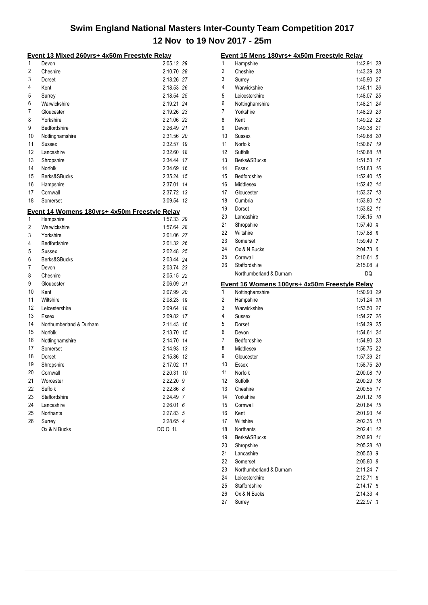|          | <u>Event 13 Mixed 260yrs+ 4x50m Freestyle Relay</u> |                          |   |
|----------|-----------------------------------------------------|--------------------------|---|
| 1        | Devon                                               | 2:05.12 29               |   |
| 2        | Cheshire                                            | 2:10.70 28               |   |
| 3        | Dorset                                              | 2:18.26 27               |   |
| 4        | Kent                                                | 2:18.53 26               |   |
| 5        | Surrey                                              | 2:18.54 25               |   |
| 6        | Warwickshire                                        | 2:19.21 24               |   |
| 7        | Gloucester                                          | 2:19.26 23               |   |
| 8        | Yorkshire                                           | 2:21.06 22               |   |
| 9        | Bedfordshire                                        | 2:26.49 21               |   |
| 10       | Nottinghamshire                                     | 2:31.56 20               |   |
| 11       | Sussex                                              | 2:32.57 19               |   |
| 12       | Lancashire                                          | 2:32.60 18               |   |
| 13       | Shropshire                                          | 2:34.44 17               |   |
| 14       | Norfolk                                             | 2:34.69 16               |   |
| 15       | Berks&SBucks                                        | 2:35.24 15               |   |
| 16       | Hampshire                                           | 2:37.01 14               |   |
| 17       | Cornwall                                            | 2:37.72 13               |   |
| 18       | Somerset                                            | 3:09.54 12               |   |
|          | Event 14 Womens 180yrs+ 4x50m Freestyle Relay       |                          |   |
| 1        | Hampshire                                           | 1:57.33 29               |   |
| 2        | Warwickshire                                        | 1:57.64 28               |   |
| 3        | Yorkshire                                           | 2:01.06 27               |   |
| 4        | Bedfordshire                                        | 2:01.32 26               |   |
| 5        | Sussex                                              | 2:02.48 25               |   |
| 6        | Berks&SBucks                                        | 2:03.44 24               |   |
| 7        | Devon                                               | 2:03.74 23               |   |
| 8        | Cheshire                                            | 2:05.15 22               |   |
| 9        | Gloucester                                          | 2:06.09 21               |   |
| 10       | Kent                                                | 2:07.99 20               |   |
| 11       | Wiltshire                                           | 2:08.23 19               |   |
| 12       | Leicestershire                                      | 2:09.64 18               |   |
| 13<br>14 | Essex                                               | 2:09.82 17               |   |
| 15       | Northumberland & Durham<br>Norfolk                  | 2:11.43 16<br>2:13.70 15 |   |
| 16       |                                                     |                          |   |
| 17       | Nottinghamshire                                     | 2:14.70 14<br>2:14.93 13 |   |
| 18       | Somerset<br>Dorset                                  | 2:15.86 12               |   |
| 19       | Shropshire                                          | 2:17.02 11               |   |
| 20       | Cornwall                                            | 2:20.31 10               |   |
| 21       | Worcester                                           |                          |   |
| 22       | Suffolk                                             | 2:22.20 9<br>2:22.86 8   |   |
| 23       | Staffordshire                                       | 2:24.49                  | 7 |
| 24       | Lancashire                                          | 2:26.01                  | 6 |
| 25       | Northants                                           | 2:27.83 5                |   |
| 26       | Surrey                                              | 2:28.65 4                |   |
|          | Ox & N Bucks                                        | DQ 0 1L                  |   |
|          |                                                     |                          |   |

|    | Event 15 Mens 180yrs+ 4x50m Freestyle Relay                      |             |    |
|----|------------------------------------------------------------------|-------------|----|
| 1  | Hampshire                                                        | 1:42.91     | 29 |
| 2  | Cheshire                                                         | 1:43.39     | 28 |
| 3  | Surrey                                                           | 1:45.90     | 27 |
| 4  | Warwickshire                                                     | 1:46.11     | 26 |
| 5  | Leicestershire                                                   | 1:48.07     | 25 |
| 6  | Nottinghamshire                                                  | 1:48.21     | 24 |
| 7  | Yorkshire                                                        | 1:48.29 23  |    |
| 8  | Kent                                                             | 1:49.22 22  |    |
| 9  | Devon                                                            | 1:49.38     | 21 |
| 10 | Sussex                                                           | 1:49.68     | 20 |
| 11 | Norfolk                                                          | 1:50.87     | 19 |
| 12 | Suffolk                                                          | 1:50.88     | 18 |
| 13 | Berks&SBucks                                                     | 1:51.53     | 17 |
| 14 | Essex                                                            | 1:51.83     | 16 |
| 15 | Bedfordshire                                                     | 1:52.40     | 15 |
| 16 | Middlesex                                                        | 1:52.42     | 14 |
| 17 | Gloucester                                                       | 1:53.37     | 13 |
| 18 | Cumbria                                                          | 1:53.80     | 12 |
| 19 | Dorset                                                           | 1:53.82     | 11 |
| 20 | Lancashire                                                       | 1:56.15     | 10 |
| 21 | Shropshire                                                       | 1:57.40     | 9  |
| 22 | Wiltshire                                                        | $1:57.88$ 8 |    |
| 23 | Somerset                                                         | 1:59.49 7   |    |
| 24 | Ox & N Bucks                                                     | 2:04.73 6   |    |
| 25 | Cornwall                                                         | 2:10.61 5   |    |
| 26 | Staffordshire                                                    | 2:15.08 4   |    |
|    | Northumberland & Durham                                          | DQ          |    |
|    |                                                                  |             |    |
|    |                                                                  |             |    |
| 1  | Event 16 Womens 100yrs+ 4x50m Freestyle Relay<br>Nottinghamshire | 1:50.93 29  |    |
| 2  | Hampshire                                                        | 1:51.24     | 28 |
| 3  | Warwickshire                                                     | 1:53.50     | 27 |
| 4  | Sussex                                                           | 1:54.27     | 26 |
| 5  | Dorset                                                           | 1:54.39     | 25 |
| 6  | Devon                                                            | 1:54.61     | 24 |
| 7  | Bedfordshire                                                     | 1:54.90 23  |    |
| 8  | Middlesex                                                        | 1:56.75 22  |    |
| 9  | Gloucester                                                       | 1:57.39     | 21 |
| 10 | Essex                                                            | 1:58.75     | 20 |
| 11 | Norfolk                                                          | 2:00.08     | 19 |
| 12 | Suffolk                                                          | 2:00.29     | 18 |
| 13 | Cheshire                                                         | 2:00.55     | 17 |
| 14 | Yorkshire                                                        | 2:01.12     | 16 |
| 15 | Cornwall                                                         | 2:01.84     | 15 |
| 16 | Kent                                                             | 2:01.93     | 14 |
| 17 | Wiltshire                                                        | 2:02.35     | 13 |
| 18 | <b>Northants</b>                                                 | 2:02.41     | 12 |
| 19 | Berks&SBucks                                                     | 2:03.93     | 11 |
| 20 | Shropshire                                                       | 2:05.28     | 10 |
| 21 | Lancashire                                                       | 2:05.53     | 9  |
| 22 | Somerset                                                         | 2:05.80     | 8  |
| 23 | Northumberland & Durham                                          | 2:11.24     | 7  |
| 24 | Leicestershire                                                   | 2:12.71     | 6  |
| 25 | Staffordshire                                                    | 2:14.17 5   |    |
| 26 | Ox & N Bucks                                                     | 2:14.33 4   |    |
| 27 | Surrey                                                           | 2:22.97 3   |    |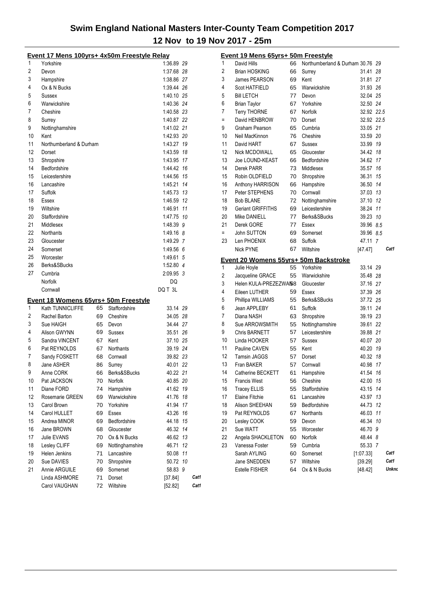|                | Event 17 Mens 100yrs+ 4x50m Freestyle Relay |    |                 |            |      |                     | Event 19 Mens 65yrs+ 50m Freestyle         |    |                                  |            |       |
|----------------|---------------------------------------------|----|-----------------|------------|------|---------------------|--------------------------------------------|----|----------------------------------|------------|-------|
| 1              | Yorkshire                                   |    |                 | 1:36.89 29 |      | 1                   | David Hills                                | 66 | Northumberland & Durham 30.76 29 |            |       |
| $\overline{2}$ | Devon                                       |    |                 | 1:37.68 28 |      | 2                   | <b>Brian HOSKING</b>                       | 66 | Surrey                           | 31.41 28   |       |
| 3              | Hampshire                                   |    |                 | 1:38.86 27 |      | 3                   | James PEARSON                              | 69 | Kent                             | 31.81 27   |       |
| 4              | Ox & N Bucks                                |    |                 | 1:39.44 26 |      | $\overline{4}$      | Scot HATFIELD                              | 65 | Warwickshire                     | 31.93 26   |       |
| 5              | Sussex                                      |    |                 | 1:40.10 25 |      | 5                   | <b>Bill LETCH</b>                          | 77 | Devon                            | 32.04 25   |       |
| 6              | Warwickshire                                |    |                 | 1:40.36 24 |      | 6                   | <b>Brian Taylor</b>                        | 67 | Yorkshire                        | 32.50 24   |       |
| 7              | Cheshire                                    |    |                 | 1:40.58 23 |      | $\overline{7}$      | <b>Terry THORNE</b>                        | 67 | Norfolk                          | 32.92 22.5 |       |
| 8              | Surrey                                      |    |                 | 1:40.87 22 |      | $\equiv$            | David HENBROW                              | 70 | Dorset                           | 32.92 22.5 |       |
| 9              | Nottinghamshire                             |    |                 | 1:41.02 21 |      | 9                   | Graham Pearson                             | 65 | Cumbria                          | 33.05 21   |       |
| 10             | Kent                                        |    |                 | 1:42.93 20 |      | 10                  | Neil MacKinnon                             | 76 | Cheshire                         | 33.59 20   |       |
| 11             | Northumberland & Durham                     |    |                 | 1:43.27 19 |      | 11                  | David HART                                 | 67 | Sussex                           | 33.99 19   |       |
| 12             | Dorset                                      |    |                 | 1:43.59 18 |      | 12                  | Nick MCDOWALL                              | 65 | Gloucester                       | 34.42 18   |       |
| 13             | Shropshire                                  |    |                 | 1:43.95 17 |      | 13                  | Joe LOUND-KEAST                            | 66 | Bedfordshire                     | 34.62 17   |       |
| 14             | Bedfordshire                                |    |                 | 1:44.42 16 |      | 14                  | Derek PARR                                 | 73 | Middlesex                        | 35.57 16   |       |
| 15             | Leicestershire                              |    |                 | 1:44.56 15 |      | 15                  | Robin OLDFIELD                             | 70 | Shropshire                       | 36.31 15   |       |
| 16             | Lancashire                                  |    |                 | 1:45.21 14 |      | 16                  | Anthony HARRISON                           | 66 | Hampshire                        | 36.50 14   |       |
| 17             | Suffolk                                     |    |                 | 1:45.73 13 |      | 17                  | Peter STEPHENS                             | 70 | Cornwall                         | 37.03 13   |       |
| 18             | Essex                                       |    |                 | 1:46.59 12 |      | 18                  | <b>Bob BLANE</b>                           | 72 | Nottinghamshire                  | 37.10 12   |       |
| 19             | Wiltshire                                   |    |                 | 1:46.91 11 |      | 19                  | Geriant GRIFFITHS                          | 69 | Leicestershire                   | 38.24 11   |       |
| 20             | Staffordshire                               |    |                 | 1:47.75 10 |      | 20                  | Mike DANIELL                               | 77 | Berks&SBucks                     | 39.23 10   |       |
| 21             | Middlesex                                   |    |                 | 1:48.39 9  |      | 21                  | Derek GORE                                 | 77 | Essex                            | 39.96 8.5  |       |
| 22             | Northants                                   |    |                 | 1:49.16 8  |      | $\equiv$            | John SUTTON                                | 69 | Somerset                         | 39.96 8.5  |       |
| 23             | Gloucester                                  |    |                 | 1:49.29 7  |      | 23                  | Len PHOENIX                                | 68 | Suffolk                          | 47.11 7    |       |
| 24             | Somerset                                    |    |                 | 1:49.56 6  |      |                     | Nick PYNE                                  | 67 | Wiltshire                        | [47.47]    | Cat1  |
| 25             | Worcester                                   |    |                 | 1:49.61 5  |      |                     |                                            |    |                                  |            |       |
| 26             | Berks&SBucks                                |    |                 | 1:52.80 4  |      |                     | Event 20 Womens 55yrs+ 50m Backstroke      |    |                                  |            |       |
| 27             | Cumbria                                     |    |                 | 2:09.95 3  |      | 1                   | Julie Hoyle                                | 55 | Yorkshire                        | 33.14 29   |       |
|                | Norfolk                                     |    |                 | <b>DQ</b>  |      | $\overline{2}$<br>3 | Jacqueline GRACE<br>Helen KULA-PREZEZWA/58 | 55 | Warwickshire                     | 35.48 28   |       |
|                |                                             |    |                 |            |      |                     |                                            |    |                                  |            |       |
|                |                                             |    |                 |            |      |                     |                                            |    | Gloucester                       | 37.16 27   |       |
|                | Cornwall                                    |    |                 | DQ T 3L    |      | 4                   | Eileen LUTHER                              | 59 | Essex                            | 37.39 26   |       |
|                | Event 18 Womens 65yrs+ 50m Freestyle        |    |                 |            |      | 5                   | Phillipa WILLIAMS                          | 55 | Berks&SBucks                     | 37.72 25   |       |
| 1              | Kath TUNNICLIFFE                            | 65 | Staffordshire   | 33.14 29   |      | 6                   | Jean APPLEBY                               | 61 | Suffolk                          | 39.11 24   |       |
| 2              | Rachel Barton                               | 69 | Cheshire        | 34.05 28   |      | $\overline{7}$      | Diana NASH                                 | 63 | Shropshire                       | 39.19 23   |       |
| 3              | Sue HAIGH                                   | 65 | Devon           | 34.44 27   |      | 8                   | Sue ARROWSMITH                             | 55 | Nottinghamshire                  | 39.61 22   |       |
| 4              | Alison GWYNN                                | 69 | Sussex          | 35.51 26   |      | 9                   | <b>Chris BARNETT</b>                       | 57 | Leicestershire                   | 39.88 21   |       |
| 5              | Sandra VINCENT                              | 67 | Kent            | 37.10 25   |      | 10                  | Linda HOOKER                               | 57 | Sussex                           | 40.07 20   |       |
| 6              | Pat REYNOLDS                                | 67 | Northants       | 39.19 24   |      | 11                  | Pauline CAVEN                              | 55 | Kent                             | 40.20 19   |       |
| 7              | Sandy FOSKETT                               | 68 | Cornwall        | 39.82 23   |      | 12                  | Tamsin JAGGS                               | 57 | Dorset                           | 40.32 18   |       |
| 8              | Jane ASHER                                  | 86 | Surrey          | 40.01 22   |      | 13                  | Fran BAKER                                 | 57 | Cornwall                         | 40.98 17   |       |
| 9              | Anne CORK                                   |    | 66 Berks&SBucks | 40.22 21   |      | 14                  | Catherine BECKETT                          |    | 61 Hampshire                     | 41.54 16   |       |
| 10             | Pat JACKSON                                 | 70 | Norfolk         | 40.85 20   |      | 15                  | <b>Francis West</b>                        | 56 | Cheshire                         | 42.00 15   |       |
| 11             | Diane FORD                                  | 74 | Hampshire       | 41.62 19   |      | 16                  | <b>Tracey ELLIS</b>                        | 55 | Staffordshire                    | 43.15 14   |       |
| 12             | Rosemarie GREEN                             | 69 | Warwickshire    | 41.76 18   |      | 17                  | <b>Elaine Fitchie</b>                      | 61 | Lancashire                       | 43.97 13   |       |
| 13             | Carol Brown                                 | 70 | Yorkshire       | 41.94 17   |      | 18                  | Alison SHEEHAN                             | 59 | Bedfordshire                     | 44.73 12   |       |
| 14             | Carol HULLET                                | 69 | Essex           | 43.26 16   |      | 19                  | Pat REYNOLDS                               | 67 | Northants                        | 46.03 11   |       |
| 15             | Andrea MINOR                                | 69 | Bedfordshire    | 44.18 15   |      | 20                  | Lesley COOK                                | 59 | Devon                            | 46.34 10   |       |
| 16             | Jane BROWN                                  | 68 | Gloucester      | 46.32 14   |      | 21                  | Sue WATT                                   | 55 | Worcester                        | 46.70 9    |       |
| 17             | Julie EVANS                                 | 70 | Ox & N Bucks    | 46.62 13   |      | 22                  | Angela SHACKLETON                          | 60 | Norfolk                          | 48.44 8    |       |
| 18             | Lesley CLIFF                                | 69 | Nottinghamshire | 46.71 12   |      | 23                  | Vanessa Foster                             | 59 | Cumbria                          | 55.33 7    |       |
| 19             | Helen Jenkins                               | 71 | Lancashire      | 50.08 11   |      |                     | Sarah AYLING                               | 60 | Somerset                         | [1:07.33]  | Cat1  |
| 20             | Sue DAVIES                                  | 70 | Shropshire      | 50.72 10   |      |                     | Jane SNEDDEN                               | 57 | Wiltshire                        | [39.29]    | Cat1  |
| 21             | Annie ARGUILE                               | 69 | Somerset        | 58.83 9    |      |                     | Estelle FISHER                             | 64 | Ox & N Bucks                     | [48.42]    | Unkno |
|                | Linda ASHMORE                               | 71 | Dorset          | [37.84]    | Cat1 |                     |                                            |    |                                  |            |       |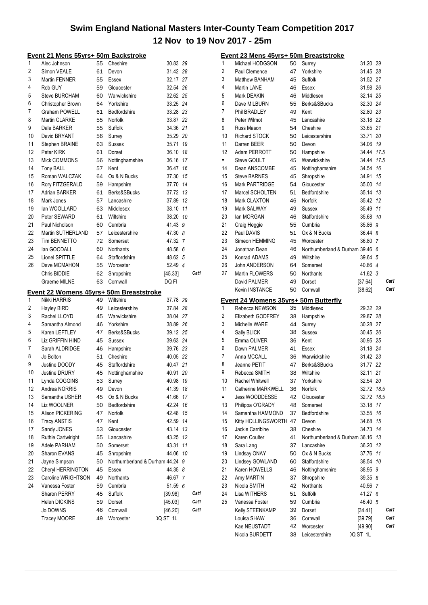|    | <u>Event 21 Mens 55yrs+ 50m Backstroke</u> |    |                               |          |    |      |
|----|--------------------------------------------|----|-------------------------------|----------|----|------|
| 1  | Alec Johnson                               | 55 | Cheshire                      | 30.83 29 |    |      |
| 2  | Simon VEALE                                | 61 | Devon                         | 31.42 28 |    |      |
| 3  | Martin FENNER                              | 55 | Essex                         | 32.17 27 |    |      |
| 4  | Rob GUY                                    | 59 | Gloucester                    | 32.54 26 |    |      |
| 5  | <b>Steve BURCHAM</b>                       | 60 | Warwickshire                  | 32.62 25 |    |      |
| 6  | Christopher Brown                          | 64 | Yorkshire                     | 33.25 24 |    |      |
| 7  | <b>Graham POWELL</b>                       | 61 | Bedfordshire                  | 33.28 23 |    |      |
| 8  | Martin CLARKE                              | 55 | Norfolk                       | 33.87 22 |    |      |
| 9  | Dale BARKER                                | 55 | Suffolk                       | 34.36 21 |    |      |
| 10 | David BRYANT                               | 56 | Surrey                        | 35.29 20 |    |      |
| 11 | Stephen BRAINE                             | 63 | <b>Sussex</b>                 | 35.71 19 |    |      |
| 12 | Peter KIRK                                 | 61 | Dorset                        | 36.10 18 |    |      |
| 13 | Mick COMMONS                               | 56 | Nottinghamshire               | 36.16 17 |    |      |
| 14 | Tony BALL                                  | 57 | Kent                          | 36.47 16 |    |      |
| 15 | Roman WALCZAK                              | 64 | Ox & N Bucks                  | 37.30 15 |    |      |
| 16 | Rory FITZGERALD                            | 59 | Hampshire                     | 37.70 14 |    |      |
| 17 | Adrian BARKER                              | 61 | Berks&SBucks                  | 37.72 13 |    |      |
| 18 | Mark Jones                                 | 57 | Lancashire                    | 37.89 12 |    |      |
| 19 | lan WOOLLARD                               | 63 | Middlesex                     | 38.10 11 |    |      |
| 20 | Peter SEWARD                               | 61 | Wiltshire                     | 38.20 10 |    |      |
| 21 | Paul Nicholson                             | 60 | Cumbria                       | 41.43 9  |    |      |
| 22 | Martin SUTHERLAND                          | 57 | Leicestershire                | 47.30 8  |    |      |
| 23 | Tim BENNETTO                               | 72 | Somerset                      | 47.32 7  |    |      |
| 24 | lan GOODALL                                | 60 | <b>Northants</b>              | 48.58 6  |    |      |
| 25 | Lionel SPITTLE                             | 64 | Staffordshire                 | 48.62 5  |    |      |
| 26 | Dave MCMAHON                               | 55 | Worcester                     | 52.49 4  |    |      |
|    | Chris BIDDIE                               | 62 | Shropshire                    | [45.33]  |    | Cat1 |
|    | Graeme MILNE                               | 63 | Cornwall                      | DQ FI    |    |      |
|    | Event 22 Womens 45yrs+ 50m Breaststroke    |    |                               |          |    |      |
| 1  | Nikki HARRIS                               | 49 | Wiltshire                     | 37.78 29 |    |      |
| 2  | Hayley BIRD                                | 49 | Leicestershire                | 37.84 28 |    |      |
| 3  | Rachel LLOYD                               | 45 | Warwickshire                  | 38.04 27 |    |      |
| 4  | Samantha Almond                            | 46 | Yorkshire                     | 38.89 26 |    |      |
| 5  | Karen LEFTLEY                              | 47 | Berks&SBucks                  | 39.12 25 |    |      |
| 6  | Liz GRIFFIN HIND                           | 45 | Sussex                        | 39.63 24 |    |      |
| 7  | Sarah ALDRIDGE                             | 46 | Hampshire                     | 39.76 23 |    |      |
| 8  | Jo Bolton                                  | 51 | Cheshire                      | 40.05 22 |    |      |
| 9  | Justine DOODY                              | 45 | Staffordshire                 | 40.47 21 |    |      |
| 10 | <b>Justine DRURY</b>                       | 45 | Nottinghamshire               | 40.91    | 20 |      |
| 11 | Lynda COGGINS                              | 53 | Surrey                        | 40.98 19 |    |      |
| 12 | Andrea NORRIS                              | 49 | Devon                         | 41.39    | 18 |      |
| 13 | Samantha USHER                             | 45 | Ox & N Bucks                  | 41.66 17 |    |      |
| 14 | Liz WOOLNER                                | 50 | Bedfordshire                  | 42.24 16 |    |      |
| 15 | Alison PICKERING                           | 47 | Norfolk                       | 42.48    | 15 |      |
| 16 | <b>Tracy ANSTIS</b>                        | 47 | Kent                          | 42.59    | 14 |      |
| 17 | Sandy JONES                                | 53 | Gloucester                    | 43.14 13 |    |      |
| 18 | <b>Ruthie Cartwiright</b>                  | 55 | Lancashire                    | 43.25    | 12 |      |
| 19 | Adele PARHAM                               | 50 | Somerset                      | 43.31    | 11 |      |
| 20 | Sharon EVANS                               | 45 | Shropshire                    | 44.06    | 10 |      |
| 21 | Jayne Simpson                              | 50 | Northumberland & Durham 44.24 |          | 9  |      |
| 22 | Cheryl HERRINGTON                          | 45 | Essex                         | 44.35 8  |    |      |
| 23 | Caroline WRIGHTSON                         | 49 | Northants                     | 46.67 7  |    |      |
| 24 | Vanessa Foster                             | 59 | Cumbria                       | 51.59 6  |    |      |
|    | Sharon PERRY                               | 45 | Suffolk                       | [39.98]  |    | Cat1 |
|    | Helen DICKINS                              | 59 | Dorset                        | [45.03]  |    | Cat1 |
|    | Jo DOWNS                                   | 46 | Cornwall                      | [46.20]  |    | Cat1 |
|    | Tracey MOORE                               | 49 | Worcester                     | IQ ST 1L |    |      |
|    |                                            |    |                               |          |    |      |

|                | Event 23 Mens 45yrs+ 50m Breaststroke       |    |                                 |            |      |
|----------------|---------------------------------------------|----|---------------------------------|------------|------|
| 1              | Michael HODGSON                             | 50 | Surrey                          | 31.20 29   |      |
| 2              | Paul Clemence                               | 47 | Yorkshire                       | 31.45 28   |      |
| 3              | Matthew BANHAM                              | 45 | Suffolk                         | 31.52 27   |      |
| 4              | Martin LANE                                 | 46 | Essex                           | 31.98 26   |      |
| 5              | Mark DEAKIN                                 | 46 | Middlesex                       | 32.14 25   |      |
| 6              | Dave MILBURN                                | 55 | Berks&SBucks                    | 32.30 24   |      |
| 7              | Phil BRADLEY                                | 49 | Kent                            | 32.80 23   |      |
| 8              | Peter Wilmot                                | 45 | Lancashire                      | 33.18 22   |      |
| 9              | Russ Mason                                  | 54 | Cheshire                        | 33.65 21   |      |
| 10             | <b>Richard STOCK</b>                        | 50 | Leicestershire                  | 33.71 20   |      |
| 11             | Darren BEER                                 | 50 | Devon                           | 34.06 19   |      |
| 12             | Adam PERROTT                                | 50 | Hampshire                       | 34.44 17.5 |      |
| $=$            | Steve GOULT                                 | 45 | Warwickshire                    | 34.44 17.5 |      |
| 14             | Dean ANSCOMBE                               | 45 | Nottinghamshire                 | 34.54      | 16   |
| 15             | <b>Steve BARNES</b>                         | 45 | Shropshire                      | 34.91      | 15   |
| 16             | Mark PARTRIDGE                              | 54 | Gloucester                      | 35.00      | 14   |
| 17             | Marcel SCHOLTEN                             | 51 | Bedfordshire                    | 35.14      | 13   |
| 18             | Mark CLAXTON                                | 46 | Norfolk                         | 35.42      | 12   |
| 19             | Mark SALWAY                                 | 49 | Sussex                          | 35.49 11   |      |
| 20             | lan MORGAN                                  | 46 | Staffordshire                   | 35.68 10   |      |
| 21             | Craig Heggie                                | 55 | Cumbria                         | 35.86 9    |      |
| 22             | Paul DAVIS                                  | 51 | Ox & N Bucks                    | 36.44 8    |      |
| 23             | Simeon HEMMING                              | 45 | Worcester                       | 36.80 7    |      |
| 24             | Jonathan Dean                               | 46 | Northumberland & Durham 39.46 6 |            |      |
| 25             | Konrad ADAMS                                | 49 | Wiltshire                       | 39.64 5    |      |
| 26             | John ANDERSON                               | 64 | Somerset                        | 40.86 4    |      |
| 27             | Martin FLOWERS                              | 50 | <b>Northants</b>                | 41.62 3    |      |
|                | David PALMER                                | 49 | Dorset                          | [37.64]    | Cat1 |
|                | <b>Kevin INSTANCE</b>                       | 50 | Cornwall                        | [38.62]    | Cat1 |
|                | <u>Event 24 Womens 35yrs+ 50m Butterfly</u> |    |                                 |            |      |
|                |                                             |    |                                 |            |      |
| 1              | Rebecca NEWSON                              | 35 | Middlesex                       | 29.32 29   |      |
| $\overline{2}$ | Elizabeth GODFREY                           | 38 |                                 | 29.87 28   |      |
| 3              | Michelle WARE                               | 44 | Hampshire                       | 30.28 27   |      |
| 4              | Sally BLICK                                 | 38 | Surrey<br><b>Sussex</b>         | 30.45 26   |      |
| 5              | Emma OLIVER                                 | 36 | Kent                            | 30.95 25   |      |
| 6              |                                             | 41 | Essex                           | 31.18 24   |      |
| 7              | Dawn PALMER<br>Anna MCCALL                  | 36 | Warwickshire                    | 31.42 23   |      |
| 8              | Jeanne PETIT                                | 47 | Berks&SBucks                    | 31.77 22   |      |
| 9              | Rebecca SMITH                               | 38 | Wiltshire                       | 32.11      | 21   |
| 10             | <b>Rachel Whitwell</b>                      | 37 | Yorkshire                       | 32.54 20   |      |
| 11             | Catherine MARKWELL                          | 36 | Norfolk                         | 32.72      | 18.5 |
| $=$            | Jess WOODDESSE                              | 42 | Gloucester                      | 32.72      | 18.5 |
| 13             | Philippa O'GRADY                            | 48 | Somerset                        | 33.18      | 17   |
| 14             | Samantha HAMMOND                            | 37 | Bedfordshire                    | 33.55      | 16   |
| 15             | Kitty HOLLINGSWORTH 47                      |    | Devon                           | 34.68      | 15   |
| 16             | Jackie Carribine                            | 38 | Cheshire                        | 34.73      | 14   |
| 17             | Karen Coulter                               | 41 | Northumberland & Durham 36.16   |            | 13   |
| 18             | Sara Lang                                   | 37 | Lancashire                      | 36.20      | 12   |
| 19             | Lindsay ONAY                                | 50 | Ox & N Bucks                    | 37.76      | 11   |
| 20             | Lindsey GOWLAND                             | 60 | Staffordshire                   | 38.54      | 10   |
| 21             | Karen HOWELLS                               | 46 | Nottinghamshire                 | 38.95      | 9    |
| 22             | Amy MARTIN                                  | 37 | Shropshire                      | 39.35 8    |      |
| 23             | Nicola SMITH                                | 42 | Northants                       | 40.56 7    |      |
| 24             | Lisa WITHERS                                | 51 | Suffolk                         | 41.27 6    |      |
| 25             | Vanessa Foster                              | 59 | Cumbria                         | 46.40 5    |      |
|                | Kelly STEENKAMP                             | 39 | Dorset                          | [34.41]    | Cat1 |
|                | Louisa SHAW                                 | 36 | Cornwall                        | [39.79]    | Cat1 |
|                | Kae NEUSTADT                                | 42 | Worcester                       | [49.90]    | Cat1 |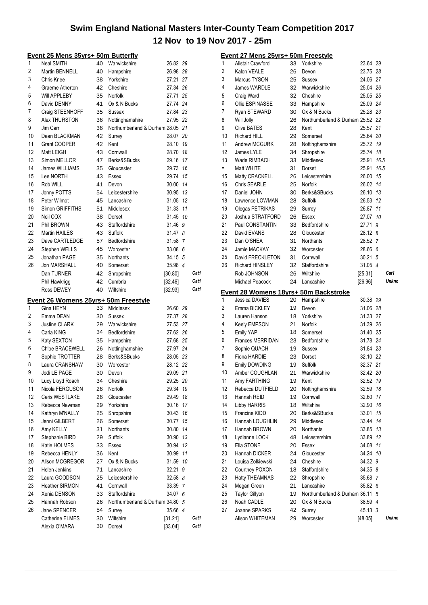|                | <u> Event 25 Mens 35yrs+ 50m Butterfly</u> |          |                                  |                    |    |              |
|----------------|--------------------------------------------|----------|----------------------------------|--------------------|----|--------------|
| 1              | Neal SMITH                                 | 40       | Warwickshire                     | 26.82 29           |    |              |
| $\overline{2}$ | <b>Martin BENNELL</b>                      | 40       | Hampshire                        | 26.98 28           |    |              |
| 3              | Chris Knee                                 | 38       | Yorkshire                        | 27.21 27           |    |              |
| 4              | Graeme Atherton                            | 42       | Cheshire                         | 27.34 26           |    |              |
| 5              | Will APPLEBY                               | 35       | Norfolk                          | 27.71 25           |    |              |
| 6              | David DENNY                                | 41       | Ox & N Bucks                     | 27.74 24           |    |              |
| 7              | Craig STEENHOFF                            | 35       | Sussex                           | 27.84 23           |    |              |
| 8              | Alex THURSTON                              | 36       | Nottinghamshire                  | 27.95 22           |    |              |
| 9              | Jim Carr                                   | 36       | Northumberland & Durham 28.05 21 |                    |    |              |
| 10             | Dean BLACKMAN                              | 42       | Surrey                           | 28.07 20           |    |              |
| 11             | <b>Grant COOPER</b>                        | 42       | Kent                             | 28.10 19           |    |              |
| 12             | Matt LEIGH                                 | 43       | Cornwall                         | 28.70 18           |    |              |
| 13             | Simon MELLOR                               | 47       | Berks&SBucks                     | 29.16 17           |    |              |
| 14             | James WILLIAMS                             | 35       | Gloucester                       | 29.73 16           |    |              |
| 15             | Lee NORTH                                  | 43       | Essex                            | 29.74 15           |    |              |
| 16             | Rob WILL                                   | 41       | Devon                            | 30.00 14           |    |              |
| 17             | Jonny POTTS                                | 54       | Leicestershire                   | 30.95 13           |    |              |
| 18             | Peter Wilmot                               | 45       | Lancashire                       | 31.05 12           |    |              |
| 19             | Simon GRIFFITHS                            | 51       | Middlesex                        | 31.33 11           |    |              |
| 20             | Neil COX                                   | 38       | Dorset                           | 31.45 10           |    |              |
| 21             | Phil BROWN                                 | 43       | Staffordshire                    | 31.46 9            |    |              |
| 22             | <b>Martin HAILES</b>                       | 43       | Suffolk                          | 31.47 8            |    |              |
| 23             | Dave CARTLEDGE                             | 57       | Bedfordshire                     | 31.58 7            |    |              |
| 24             | Stephen WELLS                              | 45       | Worcester                        | 33.08 6            |    |              |
| 25             | Jonathan PAGE                              | 35       | Northants                        | 34.15 5            |    |              |
| 26             | <b>Jon MARSHALL</b>                        | 40       | Somerset                         | 35.98 4            |    |              |
|                | Dan TURNER                                 | 42       | Shropshire                       | [30.80]            |    | Cat1         |
|                | Phil Hawkrigg                              | 42       | Cumbria                          | [32.46]            |    | Cat1         |
|                | <b>Ross DEWEY</b>                          | 40       | Wiltshire                        | [32.93]            |    | Cat1         |
|                | Event 26 Womens 25yrs+ 50m Freestyle       |          |                                  |                    |    |              |
| 1              | Gina HEYN                                  | 33       | Middlesex                        | 26.60 29           |    |              |
| 2              | Emma DEAN                                  | 30       | <b>Sussex</b>                    | 27.37 28           |    |              |
| 3              | <b>Justine CLARK</b>                       | 29       | Warwickshire                     | 27.53 27           |    |              |
| 4              | Carla KING                                 | 34       | Bedfordshire                     | 27.62 26           |    |              |
| 5              | Katy SEXTON                                | 35       | Hampshire                        | 27.68 25           |    |              |
| 6              | Chloe BRACEWELL                            | 26       | Nottinghamshire                  | 27.97 24           |    |              |
| 7              | Sophie TROTTER                             | 28       | Berks&SBucks                     | 28.05 23           |    |              |
| 8              | Laura CRANSHAW                             | 30       | Worcester                        | 28.12 22           |    |              |
| 9              | Jodi LE PAGE                               | 30       | Devon                            | 29.09 21           |    |              |
| 10             | Lucy Lloyd Roach                           | 34       | Cheshire                         | 29.25 20           |    |              |
| 11             | Nicola FERGUSON                            | 26       | Norfolk                          | 29.34              | 19 |              |
| 12             | Ceris WESTLAKE                             | 26       | Gloucester                       | 29.49              | 18 |              |
| 13             | Rebecca Newman                             | 29       | Yorkshire                        | 30.16              | 17 |              |
| 14             | Kathryn M'NALLY                            | 25       | Shropshire                       | 30.43              | 16 |              |
| 15             | Jenni GILBERT                              | 26       | Somerset                         | 30.77              | 15 |              |
| 16             | Amy KELLY                                  | 31       | <b>Northants</b>                 | 30.80 14           |    |              |
| 17             | Stephanie BIRD                             | 29       | Suffolk                          | 30.90 13           |    |              |
| 18             | Katie HOLMES                               | 33       | Essex                            | 30.94 12           |    |              |
| 19             | Rebecca HENLY                              | 36       | Kent                             | 30.99 11           |    |              |
| 20             | Alison MCGREGOR                            | 27       | Ox & N Bucks                     | 31.59 10           |    |              |
| 21             | Helen Jenkins                              | 71       | Lancashire                       | 32.21              | 9  |              |
| 22             | Laura GOODSON                              | 25       | Leicestershire                   | 32.58 8            |    |              |
| 23             | <b>Heather SIRMON</b>                      | 41       | Cornwall                         | 33.39 7            |    |              |
| 24             | Xenia DENSON                               | 33       | Staffordshire                    | 34.07 6            |    |              |
| 25             | Hannah Robson                              | 26       | Northumberland & Durham 34.80    |                    | 5  |              |
| 26             |                                            |          |                                  |                    |    |              |
|                |                                            |          |                                  |                    |    |              |
|                | Jane SPENCER                               | 54       | Surrey                           | 35.66 4            |    |              |
|                | Catherine ELMES<br>Alexia O'MARA           | 30<br>30 | Wiltshire<br>Dorset              | [31.21]<br>[33.04] |    | Cat1<br>Cat1 |

|    | Event 27 Mens 25yrs+ 50m Freestyle    |          |                                  |                    |    |              |
|----|---------------------------------------|----------|----------------------------------|--------------------|----|--------------|
| 1  | Alistair Crawford                     | 33       | Yorkshire                        | 23.64 29           |    |              |
| 2  | Kalon VEALE                           | 26       | Devon                            | 23.75 28           |    |              |
| 3  | Marcus TYSON                          | 25       | Sussex                           | 24.06 27           |    |              |
| 4  | James WARDLE                          | 32       | Warwickshire                     | 25.04 26           |    |              |
| 5  | Craig Ward                            | 32       | Cheshire                         | 25.05 25           |    |              |
| 6  | Ollie ESPINASSE                       | 33       | Hampshire                        | 25.09 24           |    |              |
| 7  | Ryan STEWARD                          | 30       | Ox & N Bucks                     | 25.28 23           |    |              |
| 8  | Will Jolly                            | 26       | Northumberland & Durham 25.52 22 |                    |    |              |
| 9  | <b>Clive BATES</b>                    | 28       | Kent                             | 25.57 21           |    |              |
| 10 | <b>Richard HILL</b>                   | 29       | Somerset                         | 25.64 20           |    |              |
| 11 | Andrew MCGURK                         | 28       | Nottinghamshire                  | 25.72 19           |    |              |
| 12 | James LYLE                            | 34       | Shropshire                       | 25.74 18           |    |              |
| 13 | Wade RIMBACH                          | 33       | Middlesex                        | 25.91 16.5         |    |              |
| Ξ. | Matt WHITE                            | 31       | Dorset                           | 25.91 16.5         |    |              |
| 15 | Matty CRACKELL                        | 26       | Leicestershire                   | 26.00 15           |    |              |
| 16 | Chris SEARLE                          | 25       | Norfolk                          | 26.02 14           |    |              |
| 17 | Daniel JOHN                           | 30       | Berks&SBucks                     | 26.10 13           |    |              |
| 18 | Lawrence LOWMAN                       | 28       | Suffolk                          | 26.53 12           |    |              |
| 19 | Olegas PETRIKAS                       | 29       | Surrey                           | 26.87 11           |    |              |
| 20 | Joshua STRATFORD                      | 26       | Essex                            | 27.07 10           |    |              |
| 21 | Paul CONSTANTIN                       |          |                                  |                    |    |              |
|    |                                       | 33       | Bedfordshire                     | 27.71 9            |    |              |
| 22 | David EVANS                           | 28       | Gloucester                       | 28.12 8            |    |              |
| 23 | Dan O'SHEA                            | 31       | Northants                        | 28.52 7            |    |              |
| 24 | Jamie MACKAY                          | 32       | Worcester                        | 28.66 6            |    |              |
| 25 | David FRECKLETON                      | 31       | Cornwall                         | 30.21 5            |    |              |
| 26 | <b>Richard HINSLEY</b>                | 32       | Staffordshire                    | 31.05 4            |    |              |
|    | Rob JOHNSON                           | 26       | Wiltshire                        | [25.31]            |    | Cat1         |
|    | Michael Peacock                       | 24       | Lancashire                       | [26.96]            |    | <b>Unkno</b> |
|    | Event 28 Womens 18yrs+ 50m Backstroke |          |                                  |                    |    |              |
|    |                                       |          |                                  |                    |    |              |
| 1  | Jessica DAVIES                        | 20       | Hampshire                        | 30.38 29           |    |              |
| 2  | Emma BICKLEY                          | 19       | Devon                            | 31.06 28           |    |              |
| 3  | Lauren Hanson                         | 18       | Yorkshire                        | 31.33 27           |    |              |
| 4  |                                       | 21       | Norfolk                          | 31.39 26           |    |              |
| 5  | Keely EMPSON<br>Emily YAP             | 18       | Somerset                         | 31.40 25           |    |              |
| 6  | <b>Frances MERRIDAN</b>               | 23       | Bedfordshire                     | 31.78 24           |    |              |
| 7  |                                       | 19       | Sussex                           | 31.84 23           |    |              |
|    | Sophie QUACH                          |          | Dorset                           |                    |    |              |
| 8  | Fiona HARDIE                          | 23       |                                  | 32.10 22           |    |              |
| 9  | Emily DOWDING                         | 19       | Suffolk                          | 32.37 21           |    |              |
| 10 | Amber COUGHLAN                        | 21       | Warwickshire                     | 32.42 20           |    |              |
| 11 | Amy FARTHING                          | 19       | Kent                             | 32.52 19           |    |              |
| 12 | Rebecca DUTFIELD                      | 20       | Nottinghamshire                  | 32.59              | 18 |              |
| 13 | Hannah REID                           | 19       | Cornwall                         | 32.60 17           |    |              |
| 14 | Libby HARRIS                          | 18       | Wiltshire                        | 32.90 16           |    |              |
| 15 | Francine KIDD                         | 20       | Berks&SBucks                     | 33.01              | 15 |              |
| 16 | Hannah LOUGHLIN                       | 29       | Middlesex                        | 33.44 14           |    |              |
| 17 | Hannah BROWN                          | 20       | Northants                        | 33.85 13           |    |              |
| 18 | Lydianne LOCK                         | 48       | Leicestershire                   | 33.89 12           |    |              |
| 19 | Ella STONE                            | 20       | Essex                            | 34.08              | 11 |              |
| 20 | Hannah DICKER                         | 24       | Gloucester                       | 34.24 10           |    |              |
| 21 | Louisa Zolkiewski                     | 24       | Cheshire                         | 34.32 9            |    |              |
| 22 | Courtney POXON                        | 18       | Staffordshire                    | 34.35 8            |    |              |
| 23 | <b>Hatty THEAMNAS</b>                 | 22       | Shropshire                       | 35.68 7            |    |              |
| 24 | Megan Green                           | 21       | Lancashire                       | 35.82 6            |    |              |
| 25 | <b>Taylor Gillyon</b>                 | 19       | Northumberland & Durham 36.11 5  |                    |    |              |
| 26 | Noah CADLE                            | 20       | Ox & N Bucks                     | 38.59 4            |    |              |
| 27 | Joanne SPARKS<br>Alison WHITEMAN      | 42<br>29 | Surrey<br>Worcester              | 45.13 3<br>[48.05] |    | Unkno        |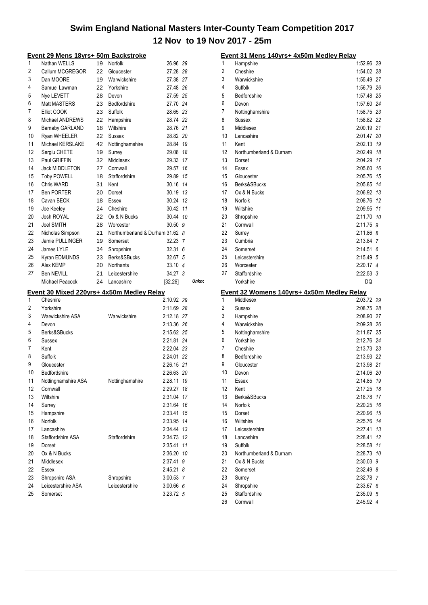|          | <u> Event 29 Mens 18yrs+ 50m Backstroke</u>           |    |                                 |                          |    |       |
|----------|-------------------------------------------------------|----|---------------------------------|--------------------------|----|-------|
| 1        | Nathan WELLS                                          | 19 | Norfolk                         | 26.96 29                 |    |       |
| 2        | Callum MCGREGOR                                       | 22 | Gloucester                      | 27.28 28                 |    |       |
| 3        | Dan MOORE                                             |    | 19 Warwickshire                 | 27.38 27                 |    |       |
| 4        | Samuel Lawman                                         |    | 22 Yorkshire                    | 27.48 26                 |    |       |
| 5        | Nye LEVETT                                            | 28 | Devon                           | 27.59 25                 |    |       |
| 6        | Matt MASTERS                                          | 23 | Bedfordshire                    | 27.70 24                 |    |       |
| 7        | Elliot COOK                                           | 23 | Suffolk                         | 28.65 23                 |    |       |
| 8        | Michael ANDREWS                                       | 22 | Hampshire                       | 28.74 22                 |    |       |
| 9        | <b>Barnaby GARLAND</b>                                | 18 | Wiltshire                       | 28.76 21                 |    |       |
| 10       | Ryan WHEELER                                          | 22 | <b>Sussex</b>                   | 28.82 20                 |    |       |
| 11       | Michael KERSLAKE                                      | 42 | Nottinghamshire                 | 28.84 19                 |    |       |
| 12       | Sergiu CHETE                                          | 19 | Surrey                          | 29.08 18                 |    |       |
| 13       | Paul GRIFFIN                                          | 32 | Middlesex                       | 29.33 17                 |    |       |
| 14       | Jack MIDDLETON                                        | 27 | Cornwall                        | 29.57 16                 |    |       |
| 15       | <b>Toby POWELL</b>                                    | 18 | Staffordshire                   | 29.89 15                 |    |       |
| 16       | Chris WARD                                            | 31 | Kent                            | 30.16 14                 |    |       |
| 17       | <b>Ben PORTER</b>                                     | 20 | Dorset                          | 30.19 13                 |    |       |
| 18       | Cavan BECK                                            | 18 | Essex                           | 30.24 12                 |    |       |
| 19       | Joe Keeley                                            | 24 | Cheshire                        | 30.42 11                 |    |       |
| 20       | Josh ROYAL                                            |    | 22 Ox & N Bucks                 | 30.44 10                 |    |       |
| 21       | Joel SMITH                                            |    | 28 Worcester                    | $30.50$ $9$              |    |       |
| 22       | Nicholas Simpson                                      | 21 | Northumberland & Durham 31.62 8 |                          |    |       |
| 23       | Jamie PULLINGER                                       | 19 | Somerset                        | 32.23 7                  |    |       |
| 24       | James LYLE                                            | 34 | Shropshire                      | 32.31 6                  |    |       |
| 25       | Kyran EDMUNDS                                         | 23 | Berks&SBucks                    | 32.67 5                  |    |       |
| 26       | Alex KEMP                                             | 20 | <b>Northants</b>                | 33.10 4                  |    |       |
| 27       | Ben NEVILL                                            | 21 | Leicestershire                  | 34.27 3                  |    |       |
|          |                                                       |    |                                 |                          |    |       |
|          | Michael Peacock                                       | 24 | Lancashire                      | [32.26]                  |    | Unkno |
|          |                                                       |    |                                 |                          |    |       |
| 1        | Event 30 Mixed 220yrs+ 4x50m Medley Relay<br>Cheshire |    |                                 | 2:10.92 29               |    |       |
| 2        | Yorkshire                                             |    |                                 | 2:11.69 28               |    |       |
| 3        | Warwickshire ASA                                      |    | Warwickshire                    |                          |    |       |
| 4        | Devon                                                 |    |                                 | 2:12.18 27<br>2:13.36 26 |    |       |
| 5        | Berks&SBucks                                          |    |                                 |                          |    |       |
| 6        | Sussex                                                |    |                                 | 2:15.62 25<br>2:21.81 24 |    |       |
| 7        | Kent                                                  |    |                                 | 2:22.04 23               |    |       |
| 8        | Suffolk                                               |    |                                 | 2:24.01 22               |    |       |
| 9        | Gloucester                                            |    |                                 | 2:26.15 21               |    |       |
| 10       | Bedfordshire                                          |    |                                 | 2:26.63 20               |    |       |
|          |                                                       |    |                                 |                          |    |       |
| 11<br>12 | Nottinghamshire ASA<br>Cornwall                       |    | Nottinghamshire                 | 2:28.11 19<br>2:29.27    | 18 |       |
|          | Wiltshire                                             |    |                                 | 2:31.04 17               |    |       |
| 13       |                                                       |    |                                 | 2:31.64 16               |    |       |
| 14       | Surrey                                                |    |                                 |                          |    |       |
| 15       | Hampshire<br>Norfolk                                  |    |                                 | 2:33.41 15               |    |       |
| 16       | Lancashire                                            |    |                                 | 2:33.95 14               |    |       |
| 17       | Staffordshire ASA                                     |    | Staffordshire                   | 2:34.44 13               |    |       |
| 18       |                                                       |    |                                 | 2:34.73 12               |    |       |
| 19<br>20 | Dorset<br>Ox & N Bucks                                |    |                                 | 2:35.41 11               |    |       |
|          | Middlesex                                             |    |                                 | 2:36.20 10               |    |       |
| 21       | Essex                                                 |    |                                 | 2:37.41 9                |    |       |
| 22       |                                                       |    |                                 | 2:45.21 8                |    |       |
| 23<br>24 | Shropshire ASA<br>Leicestershire ASA                  |    | Shropshire<br>Leicestershire    | 3:00.53 7                |    |       |
| 25       | Somerset                                              |    |                                 | 3:00.66 6<br>3:23.72 5   |    |       |

|    | Event 31 Mens 140yrs+ 4x50m Medley Relay   |             |    |
|----|--------------------------------------------|-------------|----|
| 1  | Hampshire                                  | 1:52.96     | 29 |
| 2  | Cheshire                                   | 1:54.02 28  |    |
| 3  | Warwickshire                               | 1:55.49 27  |    |
| 4  | Suffolk                                    | 1:56.79 26  |    |
| 5  | Bedfordshire                               | 1:57.48 25  |    |
| 6  | Devon                                      | 1:57.60 24  |    |
| 7  | Nottinghamshire                            | 1:58.75 23  |    |
| 8  | Sussex                                     | 1:58.82 22  |    |
| 9  | Middlesex                                  | 2:00.19     | 21 |
| 10 | Lancashire                                 | 2:01.47     | 20 |
| 11 | Kent                                       | 2:02.13     | 19 |
| 12 | Northumberland & Durham                    | 2:02.49     | 18 |
| 13 | Dorset                                     | 2:04.29     | 17 |
| 14 | Essex                                      | 2:05.60     | 16 |
| 15 | Gloucester                                 | 2:05.76     | 15 |
| 16 | Berks&SBucks                               | 2:05.85     | 14 |
| 17 | Ox & N Bucks                               | 2:06.92     | 13 |
| 18 | Norfolk                                    | 2:08.76     | 12 |
| 19 | Wiltshire                                  | 2:09.95     | 11 |
| 20 | Shropshire                                 | 2:11.70     | 10 |
| 21 | Cornwall                                   | 2:11.75     | 9  |
| 22 | Surrey                                     | 2:11.86     | 8  |
| 23 | Cumbria                                    | 2:13.84 7   |    |
| 24 | Somerset                                   | 2:14.516    |    |
| 25 | Leicestershire                             | 2:15.49 5   |    |
| 26 | Worcester                                  | 2:20.17 4   |    |
| 27 | Staffordshire                              | $2:22.53$ 3 |    |
|    | Yorkshire                                  | DQ          |    |
|    | Event 32 Womens 140yrs+ 4x50m Medley Relay |             |    |
| 1  | Middlesex                                  | 2:03.72 29  |    |
| 2  | Sussex                                     | 2:08.75     | 28 |
| 3  | Hampshire                                  | 2:08.90     | 27 |
| 4  | Warwickshire                               | 2:09.28     | 26 |
| 5  | Nottinghamshire                            | 2:11.87     | 25 |
| 6  | Yorkshire                                  | 2:12.76     | 24 |
| 7  | Cheshire                                   | 2:13.73 23  |    |
| 8  | Bedfordshire                               | 2:13.93     | 22 |
| 9  | Gloucester                                 | 2:13.98 21  |    |
| 10 | Devon                                      | 2:14.06 20  |    |
| 11 | Essex                                      | 2:14.85     | 19 |
| 12 | Kent                                       | 2:17.25     | 18 |
| 13 | Berks&SBucks                               | 2:18.78     | 17 |
| 14 | Norfolk                                    | 2:20.25     | 16 |
| 15 | Dorset                                     | 2:20.96     | 15 |
| 16 | Wiltshire                                  | 2:25.76     | 14 |
| 17 | Leicestershire                             | 2:27.41     | 13 |
| 18 | Lancashire                                 | 2:28.41     | 12 |
| 19 | Suffolk                                    | 2:28.58     | 11 |
| 20 | Northumberland & Durham                    | 2:28.73     | 10 |
| 21 | Ox & N Bucks                               | 2:30.03     | 9  |
| 22 | Somerset                                   | 2:32.49     | 8  |
| 23 | Surrey                                     | 2:32.78     | 7  |
| 24 | Shropshire                                 | 2:33.67     | 6  |
| 25 | Staffordshire                              | 2:35.09 5   |    |
| 26 | Cornwall                                   | 2:45.92 4   |    |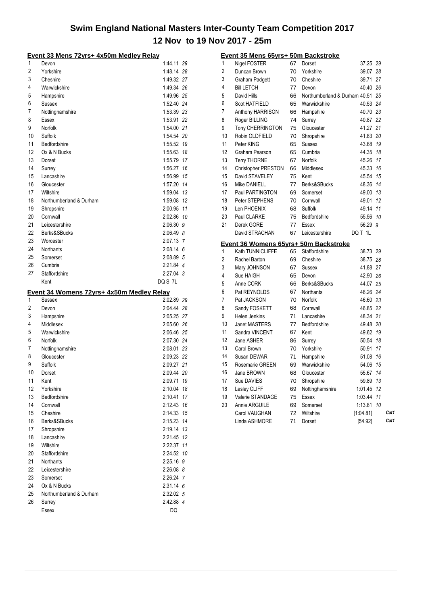|    | Event 33 Mens 72yrs+ 4x50m Medley Relay   |                 |    |
|----|-------------------------------------------|-----------------|----|
| 1  | Devon                                     | 1:44.11 29      |    |
| 2  | Yorkshire                                 | 1:48.14         | 28 |
| 3  | Cheshire                                  | 1:49.32         | 27 |
| 4  | Warwickshire                              | 1:49.34 26      |    |
| 5  | Hampshire                                 | 1:49.96 25      |    |
| 6  | Sussex                                    | 1:52.40 24      |    |
| 7  | Nottinghamshire                           | 1:53.39 23      |    |
| 8  | Essex                                     | 1:53.91 22      |    |
| 9  | Norfolk                                   | 1:54.00 21      |    |
| 10 | Suffolk                                   | 1:54.54 20      |    |
| 11 | Bedfordshire                              | 1:55.52         | 19 |
| 12 | Ox & N Bucks                              | 1:55.63         | 18 |
| 13 | Dorset                                    | 1:55.79         | 17 |
| 14 | Surrey                                    | 1:56.27         | 16 |
| 15 | Lancashire                                | 1:56.99         | 15 |
| 16 | Gloucester                                | 1:57.20         | 14 |
| 17 | Wiltshire                                 | 1:59.04         | 13 |
| 18 | Northumberland & Durham                   | 1:59.08         | 12 |
| 19 | Shropshire                                | 2:00.95         | 11 |
| 20 | Cornwall                                  | 2:02.86         | 10 |
| 21 | Leicestershire                            | 2:06.30         | 9  |
| 22 | Berks&SBucks                              | 2:06.49 8       |    |
| 23 | Worcester                                 | 2:07.13 7       |    |
| 24 | <b>Northants</b>                          | $2:08.14$ 6     |    |
| 25 | Somerset                                  | 2:08.89 5       |    |
| 26 | Cumbria                                   | 2:21.84 4       |    |
| 27 | Staffordshire                             | 2:27.04 3       |    |
|    | Kent                                      |                 |    |
|    |                                           | DQ S 7L         |    |
|    | Event 34 Womens 72yrs+ 4x50m Medley Relay |                 |    |
| 1  | Sussex                                    | 2:02.89 29      |    |
| 2  | Devon                                     | 2:04:44         | 28 |
| 3  | Hampshire                                 | 2:05.25         | 27 |
| 4  | Middlesex                                 | 2:05.60 26      |    |
| 5  | Warwickshire                              | 2:06.46 25      |    |
| 6  | Norfolk                                   | 2:07.30 24      |    |
| 7  | Nottinghamshire                           | 2:08.01 23      |    |
| 8  | Gloucester                                | 2:09.23 22      |    |
| 9  | Suffolk                                   | 2:09.27 21      |    |
| 10 | Dorset                                    | 2:09.44 20      |    |
| 11 | Kent                                      | 2:09.71         | 19 |
| 12 | Yorkshire                                 | 2:10.04         | 18 |
| 13 | Bedfordshire                              | 2:10.41         | 17 |
| 14 | Cornwall                                  | 2:12.43         | 16 |
| 15 | Cheshire                                  | 2:14.33         | 15 |
| 16 | Berks&SBucks                              | 2:15.23         | 14 |
| 17 | Shropshire                                | 2:19.14         | 13 |
| 18 | Lancashire                                | 2:21.45         | 12 |
| 19 | Wiltshire                                 | 2:22.37         | 11 |
| 20 | Staffordshire                             | 2:24.52         | 10 |
| 21 | <b>Northants</b>                          | 2:25.16         | 9  |
| 22 | Leicestershire                            | $2:26.08$ 8     |    |
| 23 | Somerset                                  | 2:26.24 7       |    |
| 24 | Ox & N Bucks                              | $2:31.14$ 6     |    |
| 25 | Northumberland & Durham                   | 2:32.02 5       |    |
| 26 | Surrey<br>Essex                           | 2:42.88 4<br>DQ |    |

|                | Event 35 Mens 65yrs+ 50m Backstroke   |    |                               |           |    |      |
|----------------|---------------------------------------|----|-------------------------------|-----------|----|------|
| 1              | <b>Nigel FOSTER</b>                   | 67 | Dorset                        | 37.25 29  |    |      |
| 2              | Duncan Brown                          | 70 | Yorkshire                     | 39.07 28  |    |      |
| 3              | <b>Graham Padgett</b>                 | 70 | Cheshire                      | 39.71     | 27 |      |
| 4              | <b>Bill LETCH</b>                     | 77 | Devon                         | 40.40     | 26 |      |
| 5              | David Hills                           | 66 | Northumberland & Durham 40.51 |           | 25 |      |
| 6              | Scot HATFIELD                         | 65 | Warwickshire                  | 40.53     | 24 |      |
| 7              | Anthony HARRISON                      | 66 | Hampshire                     | 40.70     | 23 |      |
| 8              | Roger BILLING                         | 74 | Surrey                        | 40.87 22  |    |      |
| 9              | Tony CHERRINGTON                      | 75 | Gloucester                    | 41.27     | 21 |      |
| 10             | Robin OLDFIELD                        | 70 | Shropshire                    | 41.83     | 20 |      |
| 11             | Peter KING                            | 65 | Sussex                        | 43.68     | 19 |      |
| 12             | Graham Pearson                        | 65 | Cumbria                       | 44.35     | 18 |      |
| 13             | <b>Terry THORNE</b>                   | 67 | Norfolk                       | 45.26     | 17 |      |
| 14             | <b>Christopher PRESTON</b>            | 66 | Middlesex                     | 45.33 16  |    |      |
| 15             | David STAVELEY                        | 75 | Kent                          | 45.54     | 15 |      |
| 16             | Mike DANIELL                          | 77 | Berks&SBucks                  | 48.36     | 14 |      |
| 17             | Paul PARTINGTON                       | 69 | Somerset                      | 49.00 13  |    |      |
| 18             | Peter STEPHENS                        | 70 | Cornwall                      | 49.01     | 12 |      |
| 19             | Len PHOENIX                           |    | Suffolk                       | 49.14     | 11 |      |
| 20             |                                       | 68 |                               |           |    |      |
| 21             | Paul CLARKE                           | 75 | Bedfordshire                  | 55.56     | 10 |      |
|                | Derek GORE                            | 77 | Essex                         | 56.29 9   |    |      |
|                | David STRACHAN                        | 67 | Leicestershire                | DQ T 1L   |    |      |
|                |                                       |    |                               |           |    |      |
|                | Event 36 Womens 65yrs+ 50m Backstroke |    |                               |           |    |      |
| 1              | Kath TUNNICLIFFE                      | 65 | Staffordshire                 | 38.73 29  |    |      |
| 2              | Rachel Barton                         | 69 | Cheshire                      | 38.75 28  |    |      |
| 3              | Mary JOHNSON                          | 67 | Sussex                        | 41.88     | 27 |      |
| 4              | Sue HAIGH                             | 65 | Devon                         | 42.90 26  |    |      |
| 5              | Anne CORK                             | 66 | Berks&SBucks                  | 44.07     | 25 |      |
| 6              | Pat REYNOLDS                          | 67 | Northants                     | 46.26 24  |    |      |
| $\overline{7}$ | Pat JACKSON                           | 70 | Norfolk                       | 46.60 23  |    |      |
| 8              | Sandy FOSKETT                         | 68 | Cornwall                      | 46.85     | 22 |      |
| 9              | <b>Helen Jenkins</b>                  | 71 | Lancashire                    | 48.34 21  |    |      |
| 10             | <b>Janet MASTERS</b>                  | 77 | Bedfordshire                  | 49.48 20  |    |      |
| 11             | Sandra VINCENT                        | 67 | Kent                          | 49.62 19  |    |      |
| 12             | Jane ASHER                            | 86 | Surrey                        | 50.54     | 18 |      |
| 13             | Carol Brown                           | 70 | Yorkshire                     | 50.91     | 17 |      |
| 14             | Susan DEWAR                           | 71 | Hampshire                     | 51.08     | 16 |      |
| 15             | Rosemarie GREEN                       | 69 | Warwickshire                  | 54.06     | 15 |      |
| 16             | Jane BROWN                            | 68 | Gloucester                    | 55.67     | 14 |      |
| 17             | Sue DAVIES                            | 70 | Shropshire                    | 59.89 13  |    |      |
| 18             | Lesley CLIFF                          | 69 | Nottinghamshire               | 1:01.45   | 12 |      |
| 19             | Valerie STANDAGE                      | 75 | Essex                         | 1:03.44   | 11 |      |
| 20             | Annie ARGUILE                         | 69 | Somerset                      | 1:13.81   | 10 |      |
|                | Carol VAUGHAN                         | 72 | Wiltshire                     | [1.04.81] |    | Cat1 |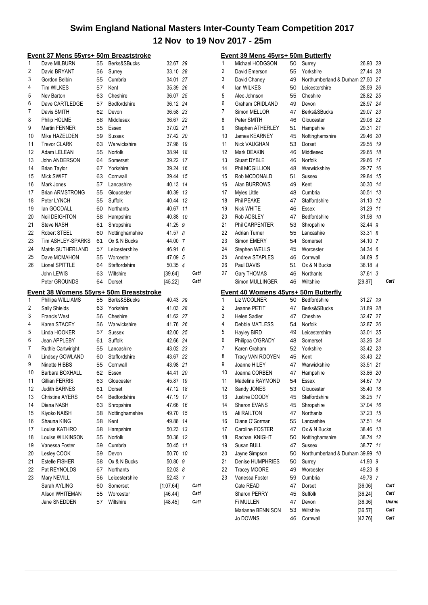|    | Event 37 Mens 55yrs+ 50m Breaststroke   |          |                        |                    |    |              |
|----|-----------------------------------------|----------|------------------------|--------------------|----|--------------|
| 1  | Dave MILBURN                            | 55       | Berks&SBucks           | 32.67 29           |    |              |
| 2  | David BRYANT                            | 56       | Surrey                 | 33.10 28           |    |              |
| 3  | Gordon Belbin                           | 55       | Cumbria                | 34.01 27           |    |              |
| 4  | <b>Tim WILKES</b>                       | 57       | Kent                   | 35.39 26           |    |              |
| 5  | Nev Barton                              | 63       | Cheshire               | 36.07 25           |    |              |
| 6  | Dave CARTLEDGE                          | 57       | Bedfordshire           | 36.12 24           |    |              |
| 7  | Davis SMITH                             | 62       | Devon                  | 36.58 23           |    |              |
| 8  | Philip HOLME                            | 58       | Middlesex              | 36.67 22           |    |              |
| 9  | Martin FENNER                           | 55       | Essex                  | 37.02 21           |    |              |
| 10 | Mike HAZELDEN                           | 59       | Sussex                 | 37.42 20           |    |              |
| 11 | <b>Trevor CLARK</b>                     | 63       | Warwickshire           | 37.98 19           |    |              |
| 12 | Adam LELEAN                             | 55       | Norfolk                | 38.94 18           |    |              |
| 13 | John ANDERSON                           | 64       | Somerset               | 39.22 17           |    |              |
| 14 | <b>Brian Taylor</b>                     | 67       | Yorkshire              | 39.24 16           |    |              |
| 15 | Mick SWIFT                              | 63       | Cornwall               | 39.44 15           |    |              |
| 16 | Mark Jones                              | 57       | Lancashire             | 40.13 14           |    |              |
| 17 | <b>Brian ARMSTRONG</b>                  | 55       | Gloucester             | 40.39 13           |    |              |
| 18 | Peter LYNCH                             | 55       | Suffolk                | 40.44 12           |    |              |
| 19 | lan GOODALL                             | 60       | Northants              | 40.67 11           |    |              |
| 20 | Neil DEIGHTON                           | 58       | Hampshire              | 40.88 10           |    |              |
| 21 | <b>Steve NASH</b>                       | 61       | Shropshire             | 41.25 9            |    |              |
| 22 | Robert STEEL                            | 60       | Nottinghamshire        | 41.57 8            |    |              |
| 23 | <b>Tim ASHLEY-SPARKS</b>                | 61       | Ox & N Bucks           | 44.00 7            |    |              |
| 24 | Matrin SUTHERLAND                       | 57       | Leicestershire         | 46.91 6            |    |              |
| 25 | Dave MCMAHON                            | 55       | Worcester              | 47.09 5            |    |              |
| 26 | Lionel SPITTLE                          | 64       | Staffordshire          | 50.35 4            |    |              |
|    | John LEWIS                              | 63       | Wiltshire              | [39.64]            |    | Cat1         |
|    |                                         |          |                        |                    |    |              |
|    | Peter GROUNDS                           | 64       | Dorset                 | [45.22]            |    | Cat1         |
|    | Event 38 Womens 55yrs+ 50m Breaststroke |          |                        |                    |    |              |
| 1  | Phillipa WILLIAMS                       | 55       | Berks&SBucks           | 40.43 29           |    |              |
| 2  | Sally Shields                           | 63       | Yorkshire              | 41.03 28           |    |              |
| 3  | <b>Francis West</b>                     | 56       | Cheshire               | 41.62 27           |    |              |
| 4  | Karen STACEY                            | 56       | Warwickshire           | 41.76 26           |    |              |
| 5  | Linda HOOKER                            | 57       | Sussex                 | 42.00 25           |    |              |
| 6  | Jean APPLEBY                            | 61       | Suffolk                | 42.66 24           |    |              |
| 7  | Ruthie Cartwiright                      | 55       | Lancashire             | 43.02 23           |    |              |
| 8  | Lindsey GOWLAND                         | 60       | Staffordshire          | 43.67 22           |    |              |
| 9  | Ninette HIBBS                           | 55       | Cornwall               | 43.98 21           |    |              |
| 10 | Barbara BOXHALL                         | 62       | Essex                  | 44.41 20           |    |              |
| 11 | Gillian FERRIS                          | 63       | Gloucester             | 45.87 19           |    |              |
| 12 | <b>Judith BARNES</b>                    | 61       | Dorset                 | 47.12              | 18 |              |
| 13 | <b>Christine AYERS</b>                  | 64       | Bedfordshire           | 47.19              | 17 |              |
| 14 | Diana NASH                              | 63       | Shropshire             | 47.66 16           |    |              |
| 15 | Kiyoko NAISH                            | 58       | Nottinghamshire        | 49.70 15           |    |              |
| 16 | Shauna KING                             | 58       | Kent                   | 49.88 14           |    |              |
| 17 | Louise KATHRO                           | 58       | Hampshire              | 50.23 13           |    |              |
| 18 | Louise WILKINSON                        | 55       | Norfolk                | 50.38 12           |    |              |
| 19 | Vanessa Foster                          | 59       | Cumbria                | 50.45 11           |    |              |
| 20 | Lesley COOK                             | 59       | Devon                  | 50.70 10           |    |              |
| 21 | Estelle FISHER                          | 58       | Ox & N Bucks           | 50.80 9            |    |              |
| 22 | Pat REYNOLDS                            | 67       | Northants              | 52.03 8            |    |              |
| 23 | Mary NEVILL                             | 56       | Leicestershire         | 52.43 7            |    |              |
|    | Sarah AYLING                            | 60       | Somerset               | [1:07.64]          |    | Cat1         |
|    | Alison WHITEMAN<br>Jane SNEDDEN         | 55<br>57 | Worcester<br>Wiltshire | [46.44]<br>[48.45] |    | Cat1<br>Cat1 |

|    | <u> Event 39 Mens 45yrs+ 50m Butterfly</u> |          |                                  |                    |    |              |
|----|--------------------------------------------|----------|----------------------------------|--------------------|----|--------------|
| 1  | Michael HODGSON                            | 50       | Surrey                           | 26.93 29           |    |              |
| 2  | David Emerson                              | 55       | Yorkshire                        | 27.44 28           |    |              |
| 3  | David Chaney                               | 49       | Northumberland & Durham 27.50 27 |                    |    |              |
| 4  | lan WILKES                                 |          | 50 Leicestershire                | 28.59 26           |    |              |
| 5  | Alec Johnson                               | 55       | Cheshire                         | 28.82 25           |    |              |
| 6  | <b>Graham CRIDLAND</b>                     | 49       | Devon                            | 28.97 24           |    |              |
| 7  | Simon MELLOR                               | 47       | Berks&SBucks                     | 29.07 23           |    |              |
| 8  | Peter SMITH                                | 46       | Gloucester                       | 29.08 22           |    |              |
| 9  | Stephen ATHERLEY                           | 51       | Hampshire                        | 29.31 21           |    |              |
| 10 | James KEARNEY                              | 45       | Nottinghamshire                  | 29.46 20           |    |              |
| 11 | <b>Nick VAUGHAN</b>                        | 53       | Dorset                           | 29.55 19           |    |              |
| 12 | Mark DEAKIN                                | 46       | Middlesex                        | 29.65 18           |    |              |
| 13 | <b>Stuart DYBLE</b>                        | 46       | Norfolk                          | 29.66 17           |    |              |
| 14 | Phil MCGILLION                             | 48       | Warwickshire                     | 29.77 16           |    |              |
| 15 |                                            |          |                                  |                    |    |              |
|    | Rob MCDONALD                               | 51       | Sussex                           | 29.84 15           |    |              |
| 16 | Alan BURROWS                               | 49       | Kent                             | 30.30 14           |    |              |
| 17 | Myles Little                               | 48       | Cumbria                          | 30.51 13           |    |              |
| 18 | Phil PEAKE                                 | 47       | Staffordshire                    | 31.13 12           |    |              |
| 19 | Nick WHITE                                 | 46       | Essex                            | 31.29 11           |    |              |
| 20 | Rob ADSLEY                                 | 47       | Bedfordshire                     | 31.98 10           |    |              |
| 21 | Phil CARPENTER                             | 53       | Shropshire                       | 32.44 9            |    |              |
| 22 | <b>Adrian Turner</b>                       | 55       | Lancashire                       | 33.318             |    |              |
| 23 | Simon EMERY                                | 54       | Somerset                         | 34.10 7            |    |              |
| 24 | Stephen WELLS                              | 45       | Worcester                        | 34.34 6            |    |              |
| 25 | Andrew STAPLES                             | 46       | Cornwall                         | 34.69 5            |    |              |
| 26 | Paul DAVIS                                 | 51       | Ox & N Bucks                     | 36.18 4            |    |              |
| 27 | Gary THOMAS                                | 46       | <b>Northants</b>                 | 37.61 3            |    |              |
|    | Simon MULLINGER                            | 46       | Wiltshire                        | [29.87]            |    | Cat1         |
|    | Event 40 Womens 45yrs+ 50m Butterfly       |          |                                  |                    |    |              |
| 1  | Liz WOOLNER                                | 50       | Bedfordshire                     | 31.27 29           |    |              |
|    |                                            |          |                                  |                    |    |              |
|    | Jeanne PETIT                               | 47       | Berks&SBucks                     |                    |    |              |
| 2  |                                            | 47       |                                  | 31.89 28           |    |              |
| 3  | <b>Helen Sadler</b>                        |          | Cheshire                         | 32.47 27           |    |              |
| 4  | Debbie MATLESS                             | 54       | Norfolk                          | 32.87 26           |    |              |
| 5  | <b>Hayley BIRD</b>                         | 49       | Leicestershire                   | 33.01 25           |    |              |
| 6  | Philippa O'GRADY                           | 48       | Somerset                         | 33.26 24           |    |              |
| 7  | Karen Graham                               | 52       | Yorkshire                        | 33.42 23           |    |              |
| 8  | Tracy VAN ROOYEN                           | 45       | Kent                             | 33.43 22           |    |              |
| 9  | Joanne HILEY                               | 47       | Warwickshire                     | 33.51 21           |    |              |
| 10 | Joanna CORBEN                              | 47       | Hampshire                        | 33.86 20           |    |              |
| 11 | Madeline RAYMOND                           | 54       | Essex                            | 34.67              | 19 |              |
| 12 | Sandy JONES                                | 53       | Gloucester                       | 35.40              | 18 |              |
| 13 | Justine DOODY                              | 45       | Staffordshire                    | 36.25              | 17 |              |
| 14 | Sharon EVANS                               | 45       | Shropshire                       | 37.04              | 16 |              |
| 15 | Ali RAILTON                                | 47       | Northants                        | 37.23              | 15 |              |
| 16 | Diane O'Gorman                             | 55       | Lancashire                       | 37.51              | 14 |              |
| 17 | Caroline FOSTER                            | 47       | Ox & N Bucks                     | 38.46 13           |    |              |
| 18 | Rachael KNIGHT                             | 50       | Nottinghamshire                  | 38.74 12           |    |              |
| 19 | Susan BULL                                 | 47       | Sussex                           | 38.77              | 11 |              |
| 20 | Jayne Simpson                              | 50       | Northumberland & Durham 39.99 10 |                    |    |              |
| 21 | Denise HUMPHRIES                           | 50       | Surrey                           | 41.93 9            |    |              |
| 22 | <b>Tracey MOORE</b>                        | 49       | Worcester                        | 49.23 8            |    |              |
| 23 | Vanessa Foster                             | 59       | Cumbria                          | 49.78 7            |    |              |
|    | Cate READ                                  | 47       | Dorset                           | [36.06]            |    | Cat1         |
|    | <b>Sharon PERRY</b>                        | 45       | Suffolk                          | [36.24]            |    | Cat1         |
|    | Fi MULLEN                                  | 47       | Devon                            | [36.36]            |    | Unkno        |
|    | Marianne BENNISON<br>Jo DOWNS              | 53<br>46 | Wiltshire<br>Cornwall            | [36.57]<br>[42.76] |    | Cat1<br>Cat1 |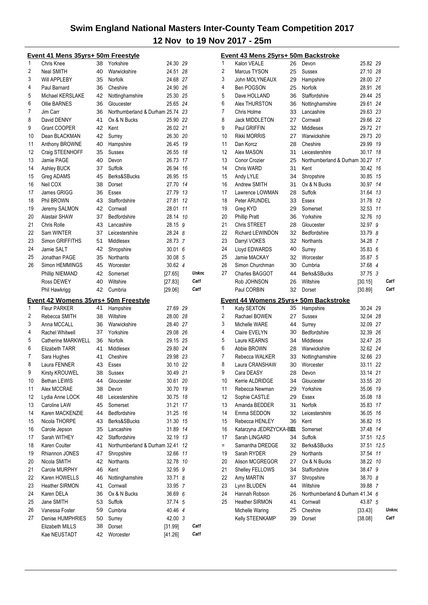|                  | <u>Event 41 Mens 35yrs+ 50m Freestyle</u> |    |                                  |          |       |
|------------------|-------------------------------------------|----|----------------------------------|----------|-------|
| 1                | Chris Knee                                | 38 | Yorkshire                        | 24.30 29 |       |
| 2                | Neal SMITH                                | 40 | Warwickshire                     | 24.51 28 |       |
| 3                | Will APPLEBY                              | 35 | Norfolk                          | 24.68 27 |       |
| 4                | Paul Barnard                              | 36 | Cheshire                         | 24.90 26 |       |
| 5                | Michael KERSLAKE                          | 42 | Nottinghamshire                  | 25.30 25 |       |
| 6                | Ollie BARNES                              | 36 | Gloucester                       | 25.65 24 |       |
| 7                | Jim Carr                                  | 36 | Northumberland & Durham 25.74 23 |          |       |
| 8                | David DENNY                               | 41 | Ox & N Bucks                     | 25.90 22 |       |
| 9                | Grant COOPER                              | 42 | Kent                             | 26.02 21 |       |
| 10               | Dean BLACKMAN                             | 42 | Surrey                           | 26.30 20 |       |
| 11               | Anthony BROWNE                            | 40 | Hampshire                        | 26.45 19 |       |
| 12               | Craig STEENHOFF                           | 35 | Sussex                           | 26.55 18 |       |
| 13               | Jamie PAGE                                | 40 | Devon                            | 26.73 17 |       |
| 14               | Ashley BUCK                               | 37 | Suffolk                          | 26.94 16 |       |
| 15               | Greg ADAMS                                | 45 | Berks&SBucks                     | 26.95 15 |       |
| 16               | Neil COX                                  | 38 | Dorset                           | 27.70 14 |       |
| 17               | James GRIGG                               | 36 | Essex                            | 27.79 13 |       |
| 18               | Phil BROWN                                | 43 | Staffordshire                    | 27.81 12 |       |
| 19               | Jeremy SALMON                             |    | 42 Cornwall                      | 28.01 11 |       |
| 20               | Alastair SHAW                             |    | 37 Bedfordshire                  | 28.14 10 |       |
| 21               | Chris Rolle                               | 43 | Lancashire                       | 28.15 9  |       |
| 22               | Sam WINTER                                |    | 37 Leicestershire                | 28.24 8  |       |
| 23               | Simon GRIFFITHS                           | 51 | Middlesex                        | 28.73 7  |       |
| 24               | Jamie SALT                                | 42 | Shropshire                       | 30.01 6  |       |
| 25               | Jonathan PAGE                             | 35 | <b>Northants</b>                 | 30.08 5  |       |
| 26               | Simon HEMMINGS                            | 45 | Worcester                        | 30.62 4  |       |
|                  | Phillip NIEMAND                           | 42 | Somerset                         | [27.65]  | Unkno |
|                  | Ross DEWEY                                | 40 | Wiltshire                        | [27.83]  | Cat1  |
|                  | Phil Hawkrigg                             | 42 | Cumbria                          | [29.06]  | Cat1  |
|                  | Event 42 Womens 35yrs+ 50m Freestyle      |    |                                  |          |       |
| 1                | <b>Fleur PARKER</b>                       | 41 | Hampshire                        | 27.69 29 |       |
| $\boldsymbol{2}$ | Rebecca SMITH                             | 38 | Wiltshire                        | 28.00 28 |       |
| 3                | Anna MCCALL                               | 36 | Warwickshire                     | 28.40 27 |       |
| 4                | Rachel Whitwell                           | 37 | Yorkshire                        | 29.08 26 |       |
| 5                | Catherine MARKWELL                        | 36 | Norfolk                          | 29.15 25 |       |
| 6                | Elizabeth TARR                            | 41 | Middlesex                        | 29.80 24 |       |
| 7                | Sara Hughes                               | 41 | Cheshire                         | 29.98 23 |       |
| 8                | Laura FENNER                              | 43 | Essex                            | 30.10 22 |       |
| 9                | Kirsty KROUWEL                            | 38 | Sussex                           | 30.49 21 |       |
| 10               | Bethan LEWIS                              | 44 | Gloucester                       | 30.61 20 |       |
| 11               | Alex MCCRAE                               | 38 | Devon                            | 30.70 19 |       |
| 12               | Lydia Anne LOCK                           | 48 | Leicestershire                   | 30.75 18 |       |
| 13               | Caroline LAW                              | 45 | Somerset                         | 31.21 17 |       |
| 14               | Karen MACKENZIE                           | 44 | Bedfordshire                     | 31.25 16 |       |
| 15               | Nicola THORPE                             | 43 | Berks&SBucks                     | 31.30 15 |       |
| 16               | Carole Jepson                             | 35 | Lancashire                       | 31.89 14 |       |
| 17               | Sarah WITHEY                              | 42 | Staffordshire                    | 32.19 13 |       |
| 18               | Karen Coulter                             | 41 | Northumberland & Durham 32.41 12 |          |       |
| 19               | Rhiannon JONES                            | 47 | Shropshire                       | 32.66 11 |       |
| 20               | Nicola SMITH                              | 42 | <b>Northants</b>                 | 32.78 10 |       |
| 21               | Carole MURPHY                             | 46 | Kent                             | 32.95 9  |       |
| 22               | Karen HOWELLS                             | 46 | Nottinghamshire                  | 33.71 8  |       |
| 23               | <b>Heather SIRMON</b>                     | 41 | Cornwall                         | 33.95 7  |       |
| 24               | Karen DELA                                | 36 | Ox & N Bucks                     | 36.69 6  |       |
| 25               | Jane SMITH                                | 53 | Suffolk                          | 37.74 5  |       |
| 26               | Vanessa Foster                            | 59 | Cumbria                          | 40.46 4  |       |
| 27               | Denise HUMPHRIES                          | 50 | Surrey                           | 42.00 3  |       |
|                  | Elizabeth MILLS                           | 38 | Dorset                           | [31.99]  | Cat1  |
|                  | Kae NEUSTADT                              | 42 | Worcester                        | [41.26]  | Cat1  |
|                  |                                           |    |                                  |          |       |

|     | <u> Event 43 Mens 25yrs+ 50m Backstroke</u> |    |                                  |            |       |
|-----|---------------------------------------------|----|----------------------------------|------------|-------|
| 1   | Kalon VEALE                                 | 26 | Devon                            | 25.82 29   |       |
| 2   | Marcus TYSON                                | 25 | Sussex                           | 27.10 28   |       |
| 3   | John MOLYNEAUX                              | 29 | Hampshire                        | 28.00 27   |       |
| 4   | Ben POGSON                                  | 25 | Norfolk                          | 28.91 26   |       |
| 5   | Dave HOLLAND                                | 36 | Staffordshire                    | 29.44 25   |       |
| 6   | Alex THURSTON                               | 36 | Nottinghamshire                  | 29.61 24   |       |
| 7   | Chris Holme                                 | 33 | Lancashire                       | 29.63 23   |       |
| 8   | <b>Jack MIDDLETON</b>                       | 27 | Cornwall                         | 29.66 22   |       |
| 9   | Paul GRIFFIN                                | 32 | Middlesex                        | 29.72 21   |       |
| 10  | <b>Rikki MORRIS</b>                         | 27 | Warwickshire                     | 29.73 20   |       |
| 11  | Dan Korcz                                   | 28 | Cheshire                         | 29.99 19   |       |
| 12  | Alex MASON                                  | 31 | Leicestershire                   | 30.17 18   |       |
| 13  | Conor Crozier                               | 25 | Northumberland & Durham 30.27 17 |            |       |
| 14  |                                             |    |                                  |            |       |
|     | Chris WARD                                  | 31 | Kent                             | 30.42 16   |       |
| 15  | Andy LYLE                                   | 34 | Shropshire                       | 30.85 15   |       |
| 16  | Andrew SMITH                                | 31 | Ox & N Bucks                     | 30.97 14   |       |
| 17  | Lawrence LOWMAN                             | 28 | Suffolk                          | 31.64 13   |       |
| 18  | Peter ARUNDEL                               | 33 | Essex                            | 31.78 12   |       |
| 19  | Greg KYD                                    | 29 | Somerset                         | 32.53 11   |       |
| 20  | <b>Phillip Pratt</b>                        | 36 | Yorkshire                        | 32.76 10   |       |
| 21  | Chris STREET                                | 28 | Gloucester                       | 32.97 9    |       |
| 22  | Richard LEWINDON                            | 32 | Bedfordshire                     | 33.79 8    |       |
| 23  | Darryl VOKES                                | 32 | <b>Northants</b>                 | 34.28 7    |       |
| 24  | Lloyd EDWARDS                               | 40 | Surrey                           | 35.83 6    |       |
| 25  | Jamie MACKAY                                | 32 | Worcester                        | 35.87 5    |       |
| 26  | Simon Churchman                             | 30 | Cumbria                          | 37.68 4    |       |
| 27  | Charles BAGGOT                              | 44 | Berks&SBucks                     | 37.75 3    |       |
|     | Rob JOHNSON                                 | 26 | Wiltshire                        | [30.15]    | Cat1  |
|     | Paul CORBIN                                 | 32 | Dorset                           | [30.89]    | Cat1  |
|     | Event 44 Womens 25yrs+ 50m Backstroke       |    |                                  |            |       |
| 1   | Katy SEXTON                                 | 35 | Hampshire                        | 30.24 29   |       |
| 2   | Rachael BOWEN                               | 27 | Sussex                           | 32.04 28   |       |
| 3   | Michelle WARE                               | 44 | Surrey                           | 32.09 27   |       |
| 4   | Claire EVELYN                               | 30 | Bedfordshire                     | 32.39 26   |       |
|     |                                             | 34 | Middlesex                        | 32.47 25   |       |
| 5   | Laure KEARNS                                |    |                                  |            |       |
| 6   | Abbie BROWN                                 | 28 | Warwickshire                     | 32.62 24   |       |
| 7   | Rebecca WALKER                              | 33 | Nottinghamshire                  | 32.66 23   |       |
| 8   | Laura CRANSHAW                              | 30 | Worcester                        | 33.11 22   |       |
| 9   | Cara DEASY                                  | 28 | Devon                            | 33.14 21   |       |
| 10  | Kerrie ALDRIDGE                             | 34 | Gloucester                       | 33.55 20   |       |
| 11  | Rebecca Newman                              | 29 | Yorkshire                        | 35.06      | 19    |
| 12  | Sophie CASTLE                               | 29 | Essex                            | 35.08 18   |       |
| 13  | Amanda BEDDER                               | 31 | Norfolk                          | 35.83 17   |       |
| 14  | Emma SEDDON                                 | 32 | Leicestershire                   | 36.05 16   |       |
| 15  | Rebecca HENLEY                              | 36 | Kent                             | 36.82      | 15    |
| 16  | Katarzyna JEDRZYCKA-B801                    |    | Somerset                         | 37.48 14   |       |
| 17  | Sarah LINGARD                               | 34 | Suffolk                          | 37.51 12.5 |       |
| $=$ | Samantha DREDGE                             | 32 | Berks&SBucks                     | 37.51      | 12.5  |
| 19  | Sarah RYDER                                 | 29 | <b>Northants</b>                 | 37.54 11   |       |
| 20  | Alison MCGREGOR                             | 27 | Ox & N Bucks                     | 38.22 10   |       |
| 21  | Shelley FELLOWS                             | 34 | Staffordshire                    | 38.47 9    |       |
| 22  | Amy MARTIN                                  | 37 | Shropshire                       | 38.70 8    |       |
| 23  | Lynn BLUDEN                                 | 44 | Wiltshire                        | 39.88 7    |       |
| 24  | Hannah Robson                               | 26 | Northumberland & Durham 41.34 6  |            |       |
| 25  | <b>Heather SIRMON</b>                       | 41 | Cornwall                         | 43.87 5    |       |
|     | Michelle Waring                             | 25 | Cheshire                         | [33.43]    | Unkno |
|     | Kelly STEENKAMP                             | 39 | Dorset                           | [38.08]    | Cat1  |
|     |                                             |    |                                  |            |       |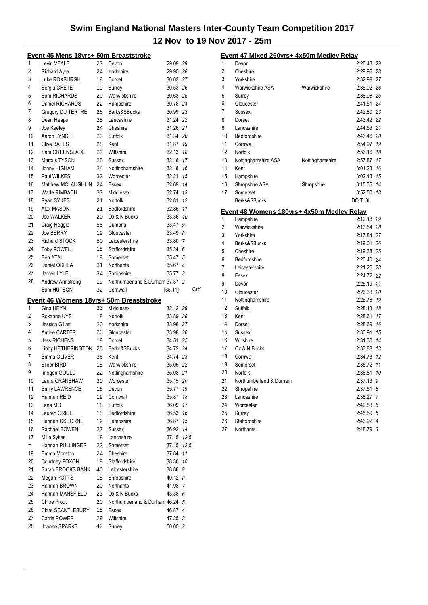|     | Event 45 Mens 18yrs+ 50m Breaststroke |    |                                         |                    |      |
|-----|---------------------------------------|----|-----------------------------------------|--------------------|------|
| 1   | Levin VEALE                           | 23 | Devon                                   | 29.09 29           |      |
| 2   | <b>Richard Ayre</b>                   | 24 | Yorkshire                               | 29.95 28           |      |
| 3   | Luke ROXBURGH                         | 18 | Dorset                                  | 30.03 27           |      |
| 4   | Sergiu CHETE                          | 19 | Surrey                                  | 30.53 26           |      |
| 5   | Sam RICHARDS                          | 20 | Warwickshire                            | 30.63 25           |      |
| 6   | Daniel RICHARDS                       | 22 | Hampshire                               | 30.78 24           |      |
| 7   | Gregory DU TERTRE                     | 28 | Berks&SBucks                            | 30.99 23           |      |
| 8   | Dean Heaps                            | 25 | Lancashire                              | 31.24 22           |      |
| 9   | Joe Keeley                            | 24 | Cheshire                                | 31.26 21           |      |
| 10  | Aaron LYNCH                           | 23 | Suffolk                                 | 31.34 20           |      |
| 11  | <b>Clive BATES</b>                    | 28 | Kent                                    | 31.87 19           |      |
| 12  | Sam GREENSLADE                        | 22 | Wiltshire                               | 32.13 18           |      |
| 13  | Marcus TYSON                          | 25 |                                         | 32.16 17           |      |
| 14  |                                       |    | Sussex                                  |                    |      |
|     | Jonny HIGHAM                          | 24 | Nottinghamshire                         | 32.18 16           |      |
| 15  | Paul WILKES                           | 33 | Worcester                               | 32.21 15           |      |
| 16  | Matthew MCLAUGHLIN                    | 24 | Essex                                   | 32.69 14           |      |
| 17  | Wade RIMBACH                          | 33 | Middlesex                               | 32.74 13           |      |
| 18  | Ryan SYKES                            | 21 | Norfolk                                 | 32.81 12           |      |
| 19  | Alex MASON                            | 21 | Bedfordshire                            | 32.85 11           |      |
| 20  | <b>Joe WALKER</b>                     | 20 | Ox & N Bucks                            | 33.36 10           |      |
| 21  | Craig Heggie                          | 55 | Cumbria                                 | 33.47 9            |      |
| 22  | Joe BERRY                             | 19 | Gloucester                              | 33.49 8            |      |
| 23  | <b>Richard STOCK</b>                  | 50 | Leicestershire                          | 33.80 7            |      |
| 24  | <b>Toby POWELL</b>                    | 18 | Staffordshire                           | 35.24 6            |      |
| 25  | <b>Ben ATAI</b>                       | 18 | Somerset                                | 35.47 5            |      |
| 26  | Daniel OSHEA                          | 31 | Northants                               | 35.67 4            |      |
| 27  | James LYLE                            | 34 | Shropshire                              | 35.77 3            |      |
| 28  | Andrew Armstrong                      | 19 | Northumberland & Durham 37.37 2         |                    |      |
|     |                                       |    |                                         |                    | Cat1 |
|     | Sam HUTSON                            | 32 | Cornwall                                |                    |      |
|     |                                       |    |                                         | [35.11]            |      |
|     |                                       |    | Event 46 Womens 18yrs+ 50m Breaststroke |                    |      |
| 1   | Gina HEYN                             | 33 | Middlesex                               | 32.12 29           |      |
| 2   | Roxanne UYS                           | 18 | Norfolk                                 | 33.89 28           |      |
| 3   | Jessica Gillatt                       | 20 | Yorkshire                               | 33.96 27           |      |
| 4   | Amiee CARTER                          | 23 | Gloucester                              | 33.98 26           |      |
| 5   | <b>Jess RICHENS</b>                   | 18 | Dorset                                  | 34.51 25           |      |
| 6   | Libby HETHERINGTON                    | 25 | Berks&SBucks                            | 34.72 24           |      |
| 7   | Emma OLIVER                           | 36 | Kent                                    | 34.74 23           |      |
| 8   | Elinor BIRD                           | 18 | Warwickshire                            | 35.05 22           |      |
| 9   | Imogen GOULD                          | 22 | Nottinghamshire                         | 35.08 21           |      |
| 10  | Laura CRANSHAW                        | 30 | Worcester                               | 35.15 20           |      |
| 11  | <b>Emily LAWRENCE</b>                 | 18 | Devon                                   | 35.77 19           |      |
| 12  | Hannah REID                           | 19 | Cornwall                                | 35.87              | 18   |
| 13  | Lana MO                               | 18 | Suffolk                                 | 36.09              | 17   |
| 14  | Lauren GRICE                          | 18 | Bedfordshire                            | 36.53              | 16   |
| 15  | Hannah OSBORNE                        | 19 | Hampshire                               | 36.87              | 15   |
| 16  | Rachael BOWEN                         | 27 | <b>Sussex</b>                           | 36.92 14           |      |
| 17  | Mille Sykes                           | 18 | Lancashire                              | 37.15 12.5         |      |
| $=$ | Hannah PULLINGER                      | 22 | Somerset                                | 37.15 12.5         |      |
| 19  | Emma Moreton                          | 24 | Cheshire                                | 37.84 11           |      |
| 20  | Courtney POXON                        | 18 | Staffordshire                           | 38.30 10           |      |
| 21  | Sarah BROOKS BANK                     | 40 | Leicestershire                          | 38.86 9            |      |
| 22  | Megan POTTS                           | 18 | Shropshire                              | 40.12 8            |      |
| 23  | Hannah BROWN                          | 20 | Northants                               | 41.98 7            |      |
| 24  | Hannah MANSFIELD                      | 23 | Ox & N Bucks                            | 43.38 6            |      |
| 25  | <b>Chloe Prout</b>                    | 20 | Northumberland & Durham 46.24 5         |                    |      |
| 26  | Clare SCANTLEBURY                     | 18 | Essex                                   | 46.87 4            |      |
| 27  | Carrie POWER                          | 29 | Wiltshire                               |                    |      |
| 28  | Joanne SPARKS                         | 42 | Surrey                                  | 47.25 3<br>50.05 2 |      |

|                | <u>Event 47 Mixed 260yrs+ 4x50m Medley Relay</u> |                 |            |    |
|----------------|--------------------------------------------------|-----------------|------------|----|
| 1              | Devon                                            |                 | 2:26.43 29 |    |
| $\overline{2}$ | Cheshire                                         |                 | 2:29.96 28 |    |
| 3              | Yorkshire                                        |                 | 2:32.99 27 |    |
| 4              | Warwickshire ASA                                 | Warwickshire    | 2:36.02 26 |    |
| 5              | Surrey                                           |                 | 2:38.98 25 |    |
| 6              | Gloucester                                       |                 | 2:41.51 24 |    |
| 7              | Sussex                                           |                 | 2:42.80 23 |    |
| 8              | Dorset                                           |                 | 2:43.42 22 |    |
| 9              | Lancashire                                       |                 | 2:44.53 21 |    |
| 10             | Bedfordshire                                     |                 | 2:46.46 20 |    |
| 11             | Cornwall                                         |                 | 2:54.97 19 |    |
| 12             | Norfolk                                          |                 | 2:56.16 18 |    |
| 13             | Nottinghamshire ASA                              | Nottinghamshire | 2:57.87 17 |    |
| 14             | Kent                                             |                 | 3:01.23 16 |    |
| 15             | Hampshire                                        |                 | 3:02.43 15 |    |
| 16             | Shropshire ASA                                   | Shropshire      | 3:15.36 14 |    |
| 17             | Somerset                                         |                 | 3:52.50 13 |    |
|                | Berks&SBucks                                     |                 | DQ T 3L    |    |
|                | Event 48 Womens 180yrs+ 4x50m Medley Relay       |                 |            |    |
| 1              | Hampshire                                        |                 | 2:12.18 29 |    |
| 2              | Warwickshire                                     |                 | 2:13.54 28 |    |
| 3              | Yorkshire                                        |                 | 2:17.84 27 |    |
| 4              | Berks&SBucks                                     |                 | 2:19.01    | 26 |
| 5              | Cheshire                                         |                 | 2:19.38 25 |    |
| 6              | Bedfordshire                                     |                 | 2:20.40 24 |    |
| 7              | Leicestershire                                   |                 | 2:21.26 23 |    |
| 8              | Essex                                            |                 | 2:24.72 22 |    |
| 9              | Devon                                            |                 | 2:25.19 21 |    |
| 10             | Gloucester                                       |                 | 2:26.33 20 |    |
| 11             | Nottinghamshire                                  |                 | 2:26.78 19 |    |
| 12             | Suffolk                                          |                 | 2:28.13 18 |    |
| 13             | Kent                                             |                 | 2:28.61    | 17 |
| 14             | Dorset                                           |                 | 2:28.69 16 |    |
| 15             | Sussex                                           |                 | 2:30.91    | 15 |
| 16             | Wiltshire                                        |                 | 2:31.30 14 |    |
| 17             | Ox & N Bucks                                     |                 | 2:33.88 13 |    |
| 18             | Cornwall                                         |                 | 2:34.73 12 |    |
| 19             | Somerset                                         |                 | 2:35.72 11 |    |
| 20             | Norfolk                                          |                 | 2:36.81 10 |    |
| 21             | Northumberland & Durham                          |                 | 2:37.13 9  |    |
| 22             | Shropshire                                       |                 | 2:37.51    | 8  |
| 23             | Lancashire                                       |                 | 2:38.27    | 7  |
| 24             | Worcester                                        |                 | 2:42.83    | 6  |
| 25             | Surrey                                           |                 | 2:45.59    | 5  |
| 26             | Staffordshire                                    |                 | 2:46.92 4  |    |
| 27             | <b>Northants</b>                                 |                 | 2:48.79 3  |    |
|                |                                                  |                 |            |    |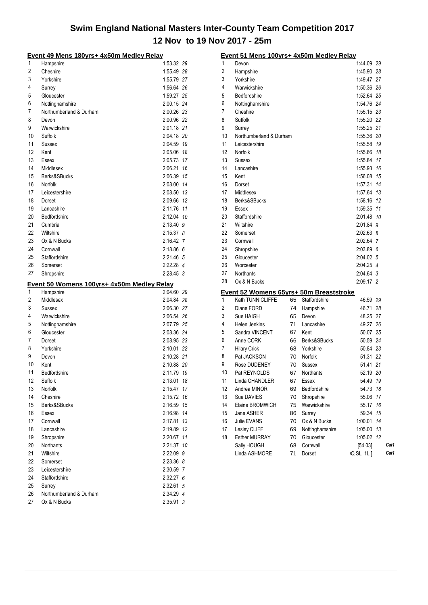|          | <u> Event 49 Mens 180yrs+ 4x50m Medley Relay</u> |                        |    |
|----------|--------------------------------------------------|------------------------|----|
| 1        | Hampshire                                        | 1:53.32 29             |    |
| 2        | Cheshire                                         | 1:55.49 28             |    |
| 3        | Yorkshire                                        | 1:55.79 27             |    |
| 4        | Surrey                                           | 1:56.64 26             |    |
| 5        | Gloucester                                       | 1:59.27 25             |    |
| 6        | Nottinghamshire                                  | 2:00.15 24             |    |
| 7        | Northumberland & Durham                          | 2:00.26 23             |    |
| 8        | Devon                                            | 2:00.96 22             |    |
| 9        | Warwickshire                                     | 2:01.18 21             |    |
| 10       | Suffolk                                          | 2:04.18 20             |    |
| 11       | Sussex                                           | 2:04.59 19             |    |
| 12       | Kent                                             | 2:05.06 18             |    |
| 13       | Essex                                            | 2:05.73 17             |    |
| 14       | Middlesex                                        | 2:06.21                | 16 |
| 15       | Berks&SBucks                                     | 2:06.39                | 15 |
| 16       | Norfolk                                          | 2:08.00                | 14 |
| 17       | Leicestershire                                   | 2:08.50 13             |    |
| 18       | Dorset                                           | 2:09.66                | 12 |
| 19       | Lancashire                                       | 2:11.76 11             |    |
| 20       | Bedfordshire                                     | 2:12.04 10             |    |
| 21       | Cumbria                                          | 2:13.40 9              |    |
| 22       | Wiltshire                                        | $2:15.37$ 8            |    |
| 23       | Ox & N Bucks                                     | 2:16.42 7              |    |
| 24       | Cornwall                                         | 2:18.866               |    |
| 25       | Staffordshire                                    | 2:21.46 5              |    |
| 26       | Somerset                                         | 2:22.28 4              |    |
| 27       | Shropshire                                       | $2:28.45$ 3            |    |
|          |                                                  |                        |    |
|          |                                                  |                        |    |
|          | Event 50 Womens 100yrs+ 4x50m Medley Relay       |                        |    |
| 1        | Hampshire                                        | 2:04.60 29             |    |
| 2        | Middlesex                                        | 2:04.84 28             |    |
| 3        | Sussex                                           | 2:06.30 27             |    |
| 4        | Warwickshire                                     | 2:06.54 26             |    |
| 5        | Nottinghamshire<br>Gloucester                    | 2:07.79 25             |    |
| 6        |                                                  | 2:08.36 24             |    |
| 7        | Dorset                                           | 2:08.95 23             |    |
| 8        | Yorkshire                                        | 2:10.01 22             |    |
| 9        | Devon                                            | 2:10.28 21             |    |
| 10       | Kent                                             | 2:10.88 20             |    |
| 11       | Bedfordshire                                     | 2:11.79                | 19 |
| 12       | Suffolk                                          | 2:13.01                | 18 |
| 13       | Norfolk                                          | 2:15.47                | 17 |
| 14       | Cheshire                                         | 2:15.72                | 16 |
| 15       | Berks&SBucks                                     | 2:16.59                | 15 |
| 16       | Essex                                            | 2:16.98                | 14 |
| 17       | Cornwall                                         | 2:17.81                | 13 |
| 18       | Lancashire                                       | 2:19.89                | 12 |
| 19       | Shropshire                                       | 2:20.67                | 11 |
| 20       | <b>Northants</b>                                 | 2:21.37                | 10 |
| 21       | Wiltshire                                        | 2:22.09 9              |    |
| 22       | Somerset                                         | 2:23.36 8              |    |
| 23       | Leicestershire                                   | 2:30.59 7              |    |
| 24       | Staffordshire                                    | $2:32.27$ 6            |    |
| 25       | Surrey                                           | 2:32.61 5              |    |
| 26<br>27 | Northumberland & Durham<br>Ox & N Bucks          | 2:34.29 4<br>2:35.91 3 |    |

|    | Event 51 Mens 100yrs+ 4x50m Medley Relay                    |    |                 |                      |    |      |
|----|-------------------------------------------------------------|----|-----------------|----------------------|----|------|
| 1  | Devon                                                       |    |                 | 1:44.09 29           |    |      |
| 2  | Hampshire                                                   |    |                 | 1:45.90 28           |    |      |
| 3  | Yorkshire                                                   |    |                 | 1:49.47 27           |    |      |
| 4  | Warwickshire                                                |    |                 | 1:50.36 26           |    |      |
| 5  | Bedfordshire                                                |    |                 | 1:52.64 25           |    |      |
| 6  | Nottinghamshire                                             |    |                 | 1:54.76 24           |    |      |
| 7  | Cheshire                                                    |    |                 | 1:55.15 23           |    |      |
| 8  | Suffolk                                                     |    |                 | 1:55.20 22           |    |      |
| 9  | Surrey                                                      |    |                 | 1:55.25 21           |    |      |
| 10 | Northumberland & Durham                                     |    |                 | 1:55.36 20           |    |      |
| 11 | Leicestershire                                              |    |                 | 1:55.58 19           |    |      |
| 12 | Norfolk                                                     |    |                 | 1:55.66 18           |    |      |
| 13 | Sussex                                                      |    |                 | 1:55.84 17           |    |      |
| 14 | Lancashire                                                  |    |                 | 1:55.93 16           |    |      |
| 15 | Kent                                                        |    |                 | 1:56.08 15           |    |      |
| 16 | Dorset                                                      |    |                 | 1:57.31 14           |    |      |
| 17 | Middlesex                                                   |    |                 | 1:57.64 13           |    |      |
| 18 | Berks&SBucks                                                |    |                 | 1:58.16 12           |    |      |
| 19 | <b>Fssex</b>                                                |    |                 | 1:59.35 11           |    |      |
| 20 | Staffordshire                                               |    |                 | 2:01.48 10           |    |      |
| 21 | Wiltshire                                                   |    |                 | 2:01.84 9            |    |      |
| 22 | Somerset                                                    |    |                 | $2:02.63$ 8          |    |      |
| 23 | Cornwall                                                    |    |                 | 2:02.64 7            |    |      |
| 24 | Shropshire                                                  |    |                 | 2:03.89 6            |    |      |
| 25 | Gloucester                                                  |    |                 | 2:04.02 5            |    |      |
| 26 | Worcester                                                   |    |                 | 2:04.25 4            |    |      |
| 27 | <b>Northants</b>                                            |    |                 | 2:04.64 3            |    |      |
| 28 | Ox & N Bucks                                                |    |                 | 2:09.17 2            |    |      |
|    |                                                             |    |                 |                      |    |      |
| 1  | Event 52 Womens 65yrs+ 50m Breaststroke<br>Kath TUNNICLIFFE | 65 | Staffordshire   | 46.59 29             |    |      |
| 2  | Diane FORD                                                  | 74 |                 | 46.71 28             |    |      |
| 3  |                                                             |    | Hampshire       |                      |    |      |
| 4  | Sue HAIGH                                                   | 65 | Devon           | 48.25 27             |    |      |
|    | Helen Jenkins                                               | 71 | Lancashire      | 49.27 26<br>50.07 25 |    |      |
| 5  | Sandra VINCENT                                              | 67 | Kent            |                      |    |      |
| 6  | Anne CORK                                                   | 66 | Berks&SBucks    | 50.59 24             |    |      |
| 7  | <b>Hilary Crick</b>                                         | 68 | Yorkshire       | 50.84 23             |    |      |
| 8  | Pat JACKSON                                                 | 70 | Norfolk         | 51.31 22             |    |      |
| 9  | Rose DUDENEY                                                | 70 | Sussex          | 51.41 21             |    |      |
| 10 | Pat REYNOLDS                                                | 67 | Northants       | 52.19                | 20 |      |
| 11 | Linda CHANDLER                                              | 67 | Essex           | 54.49                | 19 |      |
| 12 | Andrea MINOR                                                | 69 | Bedfordshire    | 54.73                | 18 |      |
| 13 | Sue DAVIES                                                  | 70 | Shropshire      | 55.06                | 17 |      |
| 14 | Elaine BROMWICH                                             | 75 | Warwickshire    | 55.17                | 16 |      |
| 15 | Jane ASHER                                                  | 86 | Surrey          | 59.34                | 15 |      |
| 16 | Julie EVANS                                                 | 70 | Ox & N Bucks    | 1:00.01              | 14 |      |
| 17 | Lesley CLIFF                                                | 69 | Nottinghamshire | 1:05.00              | 13 |      |
| 18 | <b>Esther MURRAY</b>                                        | 70 | Gloucester      | 1:05.02              | 12 |      |
|    | Sally HOUGH                                                 | 68 | Cornwall        | [54.03]              |    | Cat1 |
|    | Linda ASHMORE                                               | 71 | Dorset          | <b>IQ SL 1L]</b>     |    | Cat1 |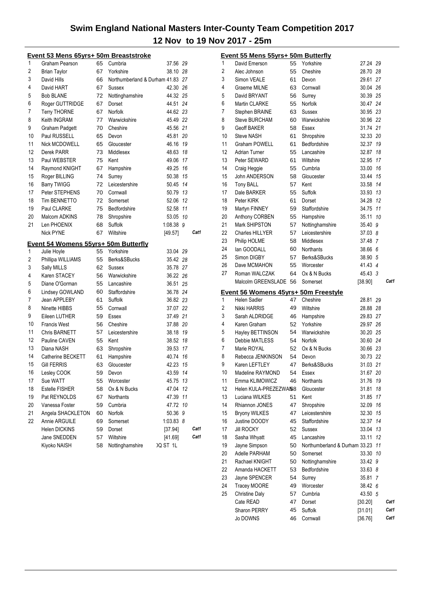|    | Event 53 Mens 65yrs+ 50m Breaststroke |    |                                  |           |    |      |
|----|---------------------------------------|----|----------------------------------|-----------|----|------|
| 1  | Graham Pearson                        | 65 | Cumbria                          | 37.56 29  |    |      |
| 2  | <b>Brian Taylor</b>                   | 67 | Yorkshire                        | 38.10 28  |    |      |
| 3  | David Hills                           | 66 | Northumberland & Durham 41.83 27 |           |    |      |
| 4  | David HART                            | 67 | Sussex                           | 42.30 26  |    |      |
| 5  | <b>Bob BLANE</b>                      | 72 | Nottinghamshire                  | 44.32 25  |    |      |
| 6  | Roger GUTTRIDGE                       | 67 | Dorset                           | 44.51 24  |    |      |
| 7  | <b>Terry THORNE</b>                   | 67 | Norfolk                          | 44.62 23  |    |      |
| 8  | Keith INGRAM                          | 77 | Warwickshire                     | 45.49 22  |    |      |
| 9  | Graham Padgett                        | 70 | Cheshire                         | 45.56 21  |    |      |
| 10 | Paul RUSSELL                          | 65 | Devon                            | 45.81 20  |    |      |
| 11 | Nick MCDOWELL                         | 65 | Gloucester                       | 46.16 19  |    |      |
| 12 | Derek PARR                            | 73 | Middlesex                        | 48.63 18  |    |      |
| 13 | Paul WEBSTER                          | 75 | Kent                             | 49.06 17  |    |      |
| 14 | Raymond KNIGHT                        | 67 | Hampshire                        | 49.25 16  |    |      |
| 15 | Roger BILLING                         | 74 | Surrey                           | 50.38 15  |    |      |
| 16 | <b>Barry TWIGG</b>                    | 72 | Leicestershire                   | 50.45 14  |    |      |
| 17 | Peter STEPHENS                        | 70 | Cornwall                         | 50.79 13  |    |      |
| 18 | <b>Tim BENNETTO</b>                   | 72 | Somerset                         | 52.06 12  |    |      |
| 19 | Paul CLARKE                           | 75 | Bedfordshire                     | 52.58 11  |    |      |
| 20 | Malcom ADKINS                         | 78 | Shropshire                       | 53.05 10  |    |      |
| 21 | Len PHOENIX                           | 68 | Suffolk                          | 1:08.38 9 |    |      |
|    | <b>Nick PYNE</b>                      | 67 | Wiltshire                        | [49.57]   |    | Cat1 |
|    | Event 54 Womens 55yrs+ 50m Butterfly  |    |                                  |           |    |      |
| 1  | Julie Hoyle                           | 55 | Yorkshire                        | 33.04 29  |    |      |
| 2  | Phillipa WILLIAMS                     | 55 | Berks&SBucks                     | 35.42 28  |    |      |
| 3  | Sally MILLS                           | 62 | Sussex                           | 35.78 27  |    |      |
| 4  | Karen STACEY                          | 56 | Warwickshire                     | 36.22 26  |    |      |
| 5  | Diane O'Gorman                        | 55 | Lancashire                       | 36.51 25  |    |      |
| 6  | Lindsey GOWLAND                       | 60 | Staffordshire                    | 36.78 24  |    |      |
| 7  | Jean APPLEBY                          | 61 | Suffolk                          | 36.82 23  |    |      |
| 8  | Ninette HIBBS                         | 55 | Cornwall                         | 37.07 22  |    |      |
| 9  | Eileen LUTHER                         | 59 | Essex                            | 37.49 21  |    |      |
| 10 | <b>Francis West</b>                   | 56 | Cheshire                         | 37.88 20  |    |      |
| 11 | <b>Chris BARNETT</b>                  | 57 | Leicestershire                   | 38.18 19  |    |      |
| 12 | Pauline CAVEN                         | 55 | Kent                             | 38.52 18  |    |      |
| 13 | Diana NASH                            | 63 | Shropshire                       | 39.53 17  |    |      |
| 14 | Catherine BECKETT                     | 61 | Hampshire                        | 40.74 16  |    |      |
| 15 | <b>Gill FERRIS</b>                    | 63 | Gloucester                       | 42.23 15  |    |      |
| 16 | Lesley COOK                           | 59 | Devon                            | 43.59     | 14 |      |
| 17 | Sue WATT                              | 55 | Worcester                        | 45.75     | 13 |      |
| 18 | <b>Estelle FISHER</b>                 | 58 | Ox & N Bucks                     | 47.04     | 12 |      |
| 19 | Pat REYNOLDS                          | 67 | Northants                        | 47.39     | 11 |      |
| 20 | Vanessa Foster                        | 59 | Cumbria                          | 47.72     | 10 |      |
| 21 | Angela SHACKLETON                     | 60 | Norfolk                          | 50.36     | 9  |      |
| 22 | Annie ARGUILE                         | 69 | Somerset                         | 1:03.83 8 |    |      |
|    | Helen DICKINS                         | 59 | Dorset                           | [37.94]   |    | Cat1 |
|    | Jane SNEDDEN                          | 57 | Wiltshire                        | [41.69]   |    | Cat1 |
|    | Kiyoko NAISH                          | 58 | Nottinghamshire                  | IQ ST 1L  |    |      |
|    |                                       |    |                                  |           |    |      |

|                | Event 55 Mens 55yrs+ 50m Butterfly   |    |                               |          |    |      |
|----------------|--------------------------------------|----|-------------------------------|----------|----|------|
| 1              | David Emerson                        | 55 | Yorkshire                     | 27.24 29 |    |      |
| $\overline{2}$ | Alec Johnson                         | 55 | Cheshire                      | 28.70 28 |    |      |
| 3              | Simon VEALE                          | 61 | Devon                         | 29.61    | 27 |      |
| 4              | Graeme MILNE                         | 63 | Cornwall                      | 30.04 26 |    |      |
| 5              | David BRYANT                         | 56 | Surrey                        | 30.39 25 |    |      |
| 6              | Martin CLARKE                        | 55 | <b>Norfolk</b>                | 30.47 24 |    |      |
| 7              | Stephen BRAINE                       | 63 | <b>Sussex</b>                 | 30.95 23 |    |      |
| 8              | <b>Steve BURCHAM</b>                 | 60 | Warwickshire                  | 30.96 22 |    |      |
| 9              | <b>Geoff BAKER</b>                   | 58 | Essex                         | 31.74 21 |    |      |
| 10             | Steve NASH                           | 61 | Shropshire                    | 32.33 20 |    |      |
| 11             | Graham POWELL                        | 61 | Bedfordshire                  | 32.37    | 19 |      |
| 12             | <b>Adrian Turner</b>                 | 55 | Lancashire                    | 32.87    | 18 |      |
| 13             | Peter SEWARD                         | 61 | Wiltshire                     | 32.95    | 17 |      |
| 14             | Craig Heggie                         | 55 | Cumbria                       | 33.00    | 16 |      |
| 15             | John ANDERSON                        | 58 | Gloucester                    | 33.44    | 15 |      |
| 16             | <b>Tony BALL</b>                     | 57 | Kent                          | 33.58    | 14 |      |
| 17             | Dale BARKER                          | 55 | Suffolk                       | 33.93 13 |    |      |
| 18             | Peter KIRK                           | 61 | Dorset                        | 34.28    | 12 |      |
| 19             | Martyn FINNEY                        | 59 | Staffordshire                 | 34.75    | 11 |      |
| 20             | Anthony CORBEN                       | 55 | Hampshire                     | 35.11    | 10 |      |
| 21             | Mark SHIPSTON                        | 57 | Nottinghamshire               | 35.40    | 9  |      |
| 22             | <b>Charles HILLYER</b>               | 57 | Leicestershire                | 37.03 8  |    |      |
| 23             | Philip HOLME                         | 58 | Middlesex                     | 37.48    | 7  |      |
| 24             | lan GOODALL                          | 60 | <b>Northants</b>              | 38.66    | 6  |      |
| 25             | Simon DIGBY                          | 57 | Berks&SBucks                  | 38.90 5  |    |      |
| 26             | Dave MCMAHON                         | 55 | Worcester                     | 41.43 4  |    |      |
| 27             | Roman WALCZAK                        | 64 | Ox & N Bucks                  | 45.43 3  |    |      |
|                | Malcolm GREENSLADE                   | 56 | Somerset                      | [38.90]  |    | Cat1 |
|                |                                      |    |                               |          |    |      |
|                | Event 56 Womens 45yrs+ 50m Freestyle |    |                               |          |    |      |
| 1              | Helen Sadler                         | 47 | Cheshire                      | 28.81    | 29 |      |
| 2              | Nikki HARRIS                         | 49 | Wiltshire                     | 28.88 28 |    |      |
| 3              | Sarah ALDRIDGE                       | 46 | Hampshire                     | 29.83 27 |    |      |
| 4              | Karen Graham                         | 52 | Yorkshire                     | 29.97 26 |    |      |
| 5              | <b>Hayley BETTINSON</b>              | 54 | Warwickshire                  | 30.20 25 |    |      |
| 6              | Debbie MATLESS                       | 54 | Norfolk                       | 30.60 24 |    |      |
| 7              | Marie ROYAL                          | 52 | Ox & N Bucks                  | 30.66 23 |    |      |
| 8              | Rebecca JENKINSON                    | 54 | Devon                         | 30.73 22 |    |      |
| 9              | Karen LEFTLEY                        | 47 | Berks&SBucks                  | 31.03 21 |    |      |
| 10             | Madeline RAYMOND                     | 54 | Essex                         | 31.67    | 20 |      |
| 11             | Emma KLIMOWICZ                       | 46 | <b>Northants</b>              | 31.76    | 19 |      |
| 12             | Helen KULA-PREZEZWAI58               |    | Gloucester                    | 31.81    | 18 |      |
| 13             | Luciana WILKES                       | 51 | Kent                          | 31.85    | 17 |      |
| 14             | Rhiannon JONES                       | 47 | Shropshire                    | 32.09    | 16 |      |
| 15             | <b>Bryony WILKES</b>                 | 47 | Leicestershire                | 32.30    | 15 |      |
| 16             | Justine DOODY                        | 45 | Staffordshire                 | 32.37    | 14 |      |
| 17             | <b>Jill ROCKY</b>                    | 52 | Sussex                        | 33.04    | 13 |      |
| 18             | Sasha Whyatt                         | 45 | Lancashire                    | 33.11    | 12 |      |
| 19             | Jayne Simpson                        | 50 | Northumberland & Durham 33.23 |          | 11 |      |
| 20             | Adelle PARHAM                        | 50 | Somerset                      | 33.30    | 10 |      |
| 21             | Rachael KNIGHT                       | 50 | Nottinghamshire               | 33.42 9  |    |      |
| 22             | Amanda HACKETT                       | 53 | Bedfordshire                  | 33.63 8  |    |      |
| 23             | Jayne SPENCER                        | 54 | Surrey                        | 35.81    | 7  |      |
| 24             | Tracey MOORE                         | 49 | Worcester                     | 38.42 6  |    |      |
| 25             | <b>Christine Daly</b>                | 57 | Cumbria                       | 43.50 5  |    |      |
|                | Cate READ                            | 47 | Dorset                        | [30.20]  |    | Cat1 |
|                | Sharon PERRY                         | 45 | Suffolk                       | [31.01]  |    | Cat1 |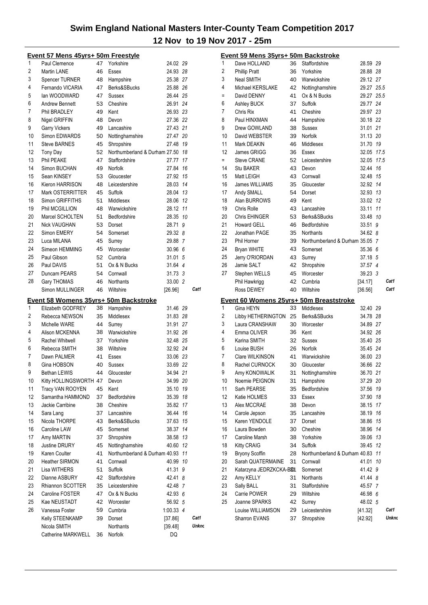|                | <u> Event 57 Mens 45yrs+ 50m Freestyle</u>                        |    |                                  |               |    |       |
|----------------|-------------------------------------------------------------------|----|----------------------------------|---------------|----|-------|
| 1              | Paul Clemence                                                     | 47 | Yorkshire                        | 24.02 29      |    |       |
| $\overline{2}$ | Martin LANE                                                       | 46 | Essex                            | 24.93 28      |    |       |
| 3              | <b>Spencer TURNER</b>                                             |    | 48 Hampshire                     | 25.38 27      |    |       |
| 4              | Fernando VICARIA                                                  |    | 47 Berks&SBucks                  | 25.88 26      |    |       |
| 5              | lan WOODWARD                                                      | 47 | Sussex                           | 26.44 25      |    |       |
| 6              | <b>Andrew Bennett</b>                                             | 53 | Cheshire                         | 26.91 24      |    |       |
| 7              | Phil BRADLEY                                                      | 49 | Kent                             | 26.93 23      |    |       |
| 8              | Nigel GRIFFIN                                                     | 48 | Devon                            | 27.36 22      |    |       |
| 9              | Garry Vickers                                                     | 49 | Lancashire                       | 27.43 21      |    |       |
| 10             | Simon EDWARDS                                                     | 50 | Nottinghamshire                  | 27.47 20      |    |       |
| 11             | <b>Steve BARNES</b>                                               | 45 | Shropshire                       | 27.48 19      |    |       |
| 12             | Tony Day                                                          | 52 | Northumberland & Durham 27.50 18 |               |    |       |
| 13             | Phil PEAKE                                                        | 47 | Staffordshire                    | 27.77 17      |    |       |
| 14             | Simon BUCHAN                                                      | 49 | Norfolk                          | 27.84 16      |    |       |
| 15             | Sean KINSEY                                                       | 53 | Gloucester                       | 27.92 15      |    |       |
| 16             | Kieron HARRISON                                                   | 48 | Leicestershire                   | 28.03 14      |    |       |
| 17             | Mark OSTERRITTER                                                  | 45 | Suffolk                          | 28.04 13      |    |       |
| 18             | Simon GRIFFITHS                                                   | 51 | Middlesex                        | 28.06 12      |    |       |
| 19             | Phil MCGILLION                                                    | 48 | Warwickshire                     | 28.12 11      |    |       |
| 20             | Marcel SCHOLTEN                                                   |    | 51 Bedfordshire                  | 28.35 10      |    |       |
| 21             | <b>Nick VAUGHAN</b>                                               |    |                                  |               |    |       |
| 22             |                                                                   |    | 53 Dorset                        | 28.71 9       |    |       |
|                | Simon EMERY                                                       | 54 | Somerset                         | 29.32 8       |    |       |
| 23             | Luca MILANA                                                       | 45 | Surrey                           | 29.88 7       |    |       |
| 24             | Simeon HEMMING                                                    | 45 | Worcester                        | 30.96 6       |    |       |
| 25             | Paul Gibson                                                       | 52 | Cumbria                          | 31.01 5       |    |       |
| 26             | Paul DAVIS                                                        | 51 | Ox & N Bucks                     | 31.64 4       |    |       |
| 27             | Duncam PEARS                                                      | 54 | Cornwall                         | 31.73 3       |    |       |
| 28             | Gary THOMAS                                                       | 46 | <b>Northants</b>                 | 33.00 2       |    |       |
|                | Simon MULLINGER                                                   | 46 | Wiltshire                        | [26.96]       |    | Cat1  |
|                |                                                                   |    |                                  |               |    |       |
|                |                                                                   |    |                                  |               |    |       |
| 1              | <u>Event 58 Womens 35yrs+ 50m Backstroke</u><br>Elizabeth GODFREY | 38 | Hampshire                        | 31.46 29      |    |       |
| 2              | Rebecca NEWSON                                                    | 35 | Middlesex                        | 31.83 28      |    |       |
| 3              | Michelle WARE                                                     | 44 | Surrey                           | 31.91 27      |    |       |
| 4              | Alison MCKENNA                                                    | 38 | Warwickshire                     | 31.92 26      |    |       |
| 5              | Rachel Whitwell                                                   | 37 | Yorkshire                        | 32.48 25      |    |       |
| 6              | Rebecca SMITH                                                     | 38 | Wiltshire                        | 32.92 24      |    |       |
| 7              | Dawn PALMER                                                       | 41 | Essex                            |               |    |       |
| 8              | Gina HOBSON                                                       | 40 | Sussex                           | 33.06 23      |    |       |
| 9              |                                                                   | 44 |                                  | 33.69 22      |    |       |
|                | <b>Bethan LEWIS</b>                                               |    | Gloucester                       | 34.94 21      |    |       |
| 10             | Kitty HOLLINGSWORTH 47                                            |    | Devon                            | 34.99 20      |    |       |
| 11             | Tracy VAN ROOYEN                                                  | 45 | Kent                             | 35.10 19      |    |       |
| 12             | Samantha HAMMOND                                                  | 37 | Bedfordshire                     | 35.39 18      |    |       |
| 13             | Jackie Carribine                                                  | 38 | Cheshire                         | 35.82 17      |    |       |
| 14             | Sara Lang                                                         | 37 | Lancashire                       | 36.44 16      |    |       |
| 15             | Nicola THORPE                                                     | 43 | Berks&SBucks                     | 37.63         | 15 |       |
| 16             | Caroline LAW                                                      | 45 | Somerset                         | 38.37 14      |    |       |
| 17             | Amy MARTIN                                                        | 37 | Shropshire                       | 38.58 13      |    |       |
| 18             | <b>Justine DRURY</b>                                              | 45 | Nottinghamshire                  | 40.60 12      |    |       |
| 19             | Karen Coulter                                                     | 41 | Northumberland & Durham 40.93 11 |               |    |       |
| 20             | <b>Heather SIRMON</b>                                             | 41 | Cornwall                         | 40.99 10      |    |       |
| 21             | Lisa WITHERS                                                      | 51 | Suffolk                          | 41.31 9       |    |       |
| 22             | Dianne ASBURY                                                     | 42 | Staffordshire                    | 42.41 8       |    |       |
| 23             | Rhiannon SCOTTER                                                  | 35 | Leicestershire                   | 42.48 7       |    |       |
| 24             | Caroline FOSTER                                                   | 47 | Ox & N Bucks                     | 42.93 6       |    |       |
| 25             | Kae NEUSTADT                                                      | 42 | Worcester                        | 56.92 5       |    |       |
| 26             | Vanessa Foster                                                    | 59 | Cumbria                          | 1:00.33 4     |    |       |
|                | Kelly STEENKAMP                                                   | 39 | Dorset                           | [37.86]       |    | Cat1  |
|                | Nicola SMITH<br>Catherine MARKWELL                                | 36 | Northants<br>Norfolk             | [39.48]<br>DQ |    | Unkno |

|                | Event 59 Mens 35yrs+ 50m Backstroke                  |          |                                                      |                      |          |       |
|----------------|------------------------------------------------------|----------|------------------------------------------------------|----------------------|----------|-------|
| 1              | Dave HOLLAND                                         | 36       | Staffordshire                                        | 28.59 29             |          |       |
| $\overline{2}$ | <b>Phillip Pratt</b>                                 | 36       | Yorkshire                                            | 28.88 28             |          |       |
| 3              | Neal SMITH                                           |          | 40 Warwickshire                                      | 29.12 27             |          |       |
| 4              | Michael KERSLAKE                                     |          | 42 Nottinghamshire                                   | 29.27 25.5           |          |       |
| Ξ              | David DENNY                                          | 41       | Ox & N Bucks                                         | 29.27 25.5           |          |       |
| 6              | Ashley BUCK                                          | 37       | Suffolk                                              | 29.77 24             |          |       |
| 7              | Chris Rix                                            | 41       | Cheshire                                             | 29.97 23             |          |       |
| 8              | Paul HINXMAN                                         | 44       | Hampshire                                            | 30.18 22             |          |       |
| 9              | Drew GOWLAND                                         | 38       | Sussex                                               | 31.01 21             |          |       |
| 10             | David WEBSTER                                        | 39       | Norfolk                                              | 31.13 20             |          |       |
| 11             | Mark DEAKIN                                          | 46       | Middlesex                                            | 31.70 19             |          |       |
| 12             | James GRIGG                                          | 36       | Essex                                                | 32.05 17.5           |          |       |
| $=$            | Steve CRANE                                          | 52       | Leicestershire                                       | 32.05 17.5           |          |       |
| 14             | Stu BAKER                                            | 43       | Devon                                                | 32.44 16             |          |       |
| 15             | Matt LEIGH                                           | 43       | Cornwall                                             | 32.48 15             |          |       |
| 16             | James WILLIAMS                                       | 35       | Gloucester                                           | 32.92 14             |          |       |
| 17             | Andy SMALL                                           | 54       | Dorset                                               | 32.93 13             |          |       |
| 18             | Alan BURROWS                                         | 49       | Kent                                                 | 33.02 12             |          |       |
| 19             | Chris Rolle                                          | 43       | Lancashire                                           | 33.11 11             |          |       |
| 20             | <b>Chris EHINGER</b>                                 | 53       | Berks&SBucks                                         | 33.48 10             |          |       |
| 21             | <b>Howard GELL</b>                                   | 46       | Bedfordshire                                         | 33.51 9              |          |       |
| 22             | Jonathan PAGE                                        | 35       | <b>Northants</b>                                     | 34.62 8              |          |       |
| 23             | Phil Horner                                          | 39       | Northumberland & Durham 35.05 7                      |                      |          |       |
| 24             | <b>Bryan WHITE</b>                                   | 43       | Somerset                                             | 35.36 6              |          |       |
| 25             | Jerry O'RIORDAN                                      | 43       | Surrey                                               | 37.18 5              |          |       |
| 26             | Jamie SALT                                           | 42       | Shropshire                                           | 37.57 4              |          |       |
| 27             | Stephen WELLS                                        |          | 45 Worcester                                         | $39.23 \quad 3$      |          |       |
|                | Phil Hawkrigg                                        | 42       | Cumbria                                              | [34.17]              |          | Cat1  |
|                | Ross DEWEY                                           | 40       | Wiltshire                                            | [36.56]              |          | Cat1  |
|                |                                                      |          |                                                      |                      |          |       |
|                |                                                      |          |                                                      |                      |          |       |
| 1              | Gina HEYN                                            | 33       | Event 60 Womens 25yrs+ 50m Breaststroke<br>Middlesex |                      |          |       |
| 2              |                                                      |          |                                                      | 32.40 29             |          |       |
| 3              | Libby HETHERINGTON 25 Berks&SBucks<br>Laura CRANSHAW |          |                                                      | 34.78 28             |          |       |
| 4              | Emma OLIVER                                          | 36       | 30 Worcester<br>Kent                                 | 34.89 27             |          |       |
| 5              | Karina SMITH                                         | 32       |                                                      | 34.92 26<br>35.40 25 |          |       |
| 6              |                                                      |          | Sussex                                               |                      |          |       |
| 7              | Louise BUSH                                          | 26<br>41 | Norfolk<br>Warwickshire                              | 35.45 24             |          |       |
| 8              | Clare WILKINSON                                      |          | Gloucester                                           | 36.00 23             |          |       |
|                | Rachel CURNOCK                                       | 30       |                                                      | 36.66 22             |          |       |
| 9              | Amy KONOWALIK                                        |          | 31 Nottinghamshire                                   | 36.70 21             |          |       |
| 10             | Noemie PEIGNON                                       | 31       | Hampshire                                            | 37.29 20             |          |       |
| 11             | Sarh PEARSE                                          | 35       | Bedfordshire<br>Essex                                | 37.56                | 19       |       |
| 12<br>13       | Katie HOLMES<br>Alex MCCRAE                          | 33<br>38 | Devon                                                | 37.90                | 18<br>17 |       |
| 14             |                                                      |          |                                                      | 38.15                |          |       |
| 15             | Carole Jepson<br>Karen YENDOLE                       | 35       | Lancashire                                           | 38.19                | 16       |       |
| 16             | Laura Bowden                                         | 37       | Dorset<br>Cheshire                                   | 38.86<br>38.96 14    | 15       |       |
|                |                                                      | 30       |                                                      |                      |          |       |
| 17             | Caroline Marsh                                       | 38       | Yorkshire                                            | 39.06 13             |          |       |
| 18             | Kitty CRAIG                                          | 34       | Suffolk                                              | 39.45 12             |          |       |
| 19             | Bryony Scoffin                                       | 28<br>31 | Northumberland & Durham 40.83 11<br>Cornwall         | 41.01                |          |       |
| 20<br>21       | Sarah QUATERMAINE                                    |          |                                                      |                      | 10       |       |
| 22             | Katarzyna JEDRZKCKA-B81                              |          | Somerset                                             | 41.42 9              |          |       |
| 23             | Amy KELLY                                            | 31       | Northants                                            | 41.44 8              |          |       |
| 24             | Sally BALL                                           | 31<br>29 | Staffordshire<br>Wiltshire                           | 45.57 7              |          |       |
| 25             | Carrie POWER                                         | 42       |                                                      | 46.98 6              |          |       |
|                | Joanne SPARKS                                        |          | Surrey                                               | 48.02 5              |          | Cat1  |
|                | Louise WILLIAMSON<br><b>Sharron EVANS</b>            | 29<br>37 | Leicestershire<br>Shropshire                         | [41.32]<br>[42.92]   |          | Unkno |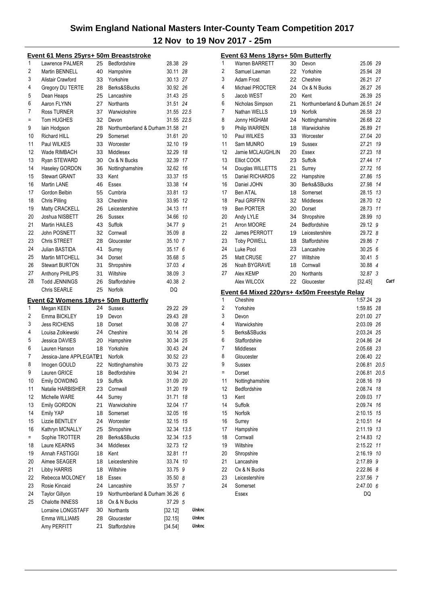|     | Event 61 Mens 25yrs+ 50m Breaststroke |          |                                  |                    |                |
|-----|---------------------------------------|----------|----------------------------------|--------------------|----------------|
| 1   | Lawrence PALMER                       | 25       | Bedfordshire                     | 28.38 29           |                |
| 2   | Martin BENNELL                        | 40       | Hampshire                        | 30.11 28           |                |
| 3   | Alistair Crawford                     | 33       | Yorkshire                        | 30.13 27           |                |
| 4   | Gregory DU TERTE                      |          | 28 Berks&SBucks                  | 30.92 26           |                |
| 5   | Dean Heaps                            |          | 25 Lancashire                    | 31.43 25           |                |
| 6   | Aaron FLYNN                           |          | 27 Northants                     | 31.51 24           |                |
| 7   | Ross TURNER                           | 37       | Warwickshire                     | 31.55 22.5         |                |
| Ξ   | Tom HUGHES                            | 32       | Devon                            | 31.55 22.5         |                |
| 9   | lain Hodgson                          | 28       | Northumberland & Durham 31.58 21 |                    |                |
| 10  | <b>Richard HILL</b>                   | 29       | Somerset                         | 31.61 20           |                |
| 11  | Paul WILKES                           | 33       | Worcester                        | 32.10 19           |                |
| 12  | Wade RIMBACH                          | 33       | Middlesex                        | 32.29 18           |                |
| 13  | Ryan STEWARD                          | 30       | Ox & N Bucks                     | 32.39 17           |                |
| 14  | Haseley GORDON                        | 36       | Nottinghamshire                  | 32.62 16           |                |
| 15  | <b>Stewart GRANT</b>                  | 33       | Kent                             | 33.37 15           |                |
| 16  | Martin LANE                           | 46       | Essex                            | 33.38 14           |                |
| 17  | Gordon Belbin                         | 55       | Cumbria                          | 33.81 13           |                |
| 18  | Chris Pilling                         | 33       | Cheshire                         | 33.95 12           |                |
| 19  | Matty CRACKELL                        | 26       | Leicestershire                   | 34.13 11           |                |
| 20  | Joshua NISBETT                        | 26       | Sussex                           | 34.66 10           |                |
| 21  | Martin HAILES                         | 43       | Suffolk                          | 34.77 9            |                |
| 22  | John POSNETT                          | 32       | Cornwall                         | 35.09 8            |                |
| 23  | Chris STREET                          | 28       | Gloucester                       | 35.10 7            |                |
| 24  |                                       |          |                                  |                    |                |
| 25  | Julian BASTIDA<br>Martin MITCHELL     | 41       | Surrey                           | 35.17 6            |                |
| 26  |                                       | 34       | Dorset                           | 35.68 5            |                |
| 27  | <b>Stewart BURTON</b>                 | 31       | Shropshire                       | 37.03 4            |                |
| 28  | Anthony PHILIPS                       | 31       | Wiltshire                        | 38.09 3            |                |
|     | <b>Todd JENNINGS</b>                  | 26       | Staffordshire                    | 40.38 2            |                |
|     |                                       |          |                                  |                    |                |
|     | Chris SEARLE                          | 25       | Norfolk                          | DQ                 |                |
|     | Event 62 Womens 18yrs+ 50m Butterfly  |          |                                  |                    |                |
| 1   | Megan KEEN                            | 24       | Sussex                           | 29.22 29           |                |
| 2   | Emma BICKLEY                          | 19       | Devon                            | 29.43 28           |                |
| 3   | <b>Jess RICHENS</b>                   | 18       | Dorset                           | 30.08 27           |                |
| 4   | Louisa Zolkiewski                     | 24       | Cheshire                         | 30.14 26           |                |
| 5   | Jessica DAVIES                        | 20       | Hampshire                        | 30.34 25           |                |
| 6   | Lauren Hanson                         | 18       | Yorkshire                        | 30.43 24           |                |
| 7   | Jessica-Jane APPLEGATE1               |          | Norfolk                          | 30.52 23           |                |
| 8   | Imogen GOULD                          | 22       | Nottinghamshire                  | 30.73 22           |                |
| 9   | Lauren GRICE                          | 18       | Bedfordshire                     | 30.94 21           |                |
| 10  | Emily DOWDING                         | 19       | Suffolk                          | 31.09 20           |                |
| 11  | Natalie HARBISHER                     | 23       | Cornwall                         | 31.20              | 19             |
| 12  | Michelle WARE                         | 44       | Surrey                           | 31.71              | 18             |
| 13  | Emily GORDON                          | 21       | Warwickshire                     | 32.04 17           |                |
| 14  | Emily YAP                             | 18       | Somerset                         | 32.05 16           |                |
| 15  | Lizzie BENTLEY                        | 24       | Worcester                        | 32.15 15           |                |
| 16  | Kathryn MCNALLY                       | 25       | Shropshire                       | 32.34 13.5         |                |
| $=$ | Sophie TROTTER                        | 28       | Berks&SBucks                     | 32.34 13.5         |                |
| 18  | Laure KEARNS                          | 34       | Middlesex                        | 32.73              | 12             |
| 19  | Annah FASTIGGI                        | 18       | Kent                             | 32.81              | 11             |
| 20  | Aimee SEAGER                          | 18       | Leicestershire                   | 33.74 10           |                |
| 21  | Libby HARRIS                          | 18       | Wiltshire                        | 33.75 9            |                |
| 22  | Rebecca MOLONEY                       | 18       | Essex                            | 35.50 8            |                |
| 23  | Rosie Kincaid                         | 24       | Lancashire                       | 35.57 7            |                |
| 24  | <b>Taylor Gillyon</b>                 | 19       | Northumberland & Durham 36.26 6  |                    |                |
| 25  | Chalotte INNESS                       | 18       | Ox & N Bucks                     | 37.29 5            |                |
|     | Lorraine LONGSTAFF                    | 30       | Northants                        | [32.12]            | Unkno          |
|     | Emma WILLIAMS<br>Amy PERFITT          | 28<br>21 | Gloucester<br>Staffordshire      | [32.15]<br>[34.54] | Unkno<br>Unkno |

|                | <u> Event 63 Mens 18yrs+ 50m Butterfly</u> |    |                                              |              |      |
|----------------|--------------------------------------------|----|----------------------------------------------|--------------|------|
| 1              | <b>Warren BARRETT</b>                      | 30 | Devon                                        | 25.06 29     |      |
| $\overline{2}$ | Samuel Lawman                              | 22 | Yorkshire                                    | 25.94 28     |      |
| 3              | Adam Frost                                 | 22 | Cheshire                                     | 26.21 27     |      |
| 4              | Michael PROCTER                            | 24 | Ox & N Bucks                                 | 26.27 26     |      |
| 5              | Jacob WEST                                 | 20 | Kent                                         | 26.39 25     |      |
| 6              | Nicholas Simpson                           | 21 | Northumberland & Durham 26.51 24             |              |      |
| 7              | Nathan WELLS                               | 19 | Norfolk                                      | 26.58 23     |      |
| 8              | Jonny HIGHAM                               | 24 | Nottinghamshire                              | 26.68 22     |      |
| 9              | Philip WARREN                              | 18 | Warwickshire                                 | 26.89 21     |      |
| 10             | Paul WILKES                                | 33 | Worcester                                    | 27.04 20     |      |
| 11             | Sam MUNRO                                  | 19 | Sussex                                       | 27.21 19     |      |
| 12             | Jamie MCLAUGHLIN                           | 20 | Essex                                        | 27.23 18     |      |
| 13             | Elliot COOK                                | 23 | Suffolk                                      | 27.44 17     |      |
| 14             | Douglas WILLETTS                           | 21 | Surrey                                       | 27.72 16     |      |
| 15             | Daniel RICHARDS                            | 22 | Hampshire                                    | 27.86 15     |      |
| 16             | Daniel JOHN                                | 30 | Berks&SBucks                                 | 27.98 14     |      |
| 17             | <b>Ben ATAL</b>                            | 18 | Somerset                                     | 28.15 13     |      |
| 18             | Paul GRIFFIN                               | 32 | Middlesex                                    | 28.70 12     |      |
| 19             | <b>Ben PORTER</b>                          | 20 | Dorset                                       | 28.73 11     |      |
| 20             | Andy LYLE                                  | 34 | Shropshire                                   | 28.99 10     |      |
| 21             | Arron MOORE                                | 24 | Bedfordshire                                 | 29.12 9      |      |
| 22             | James PERROTT                              | 19 | Leicestershire                               | 29.72 8      |      |
| 23             | <b>Toby POWELL</b>                         | 18 | Staffordshire                                | 29.86 7      |      |
| 24             | Luke Pool                                  | 23 | Lancashire                                   | 30.256       |      |
| 25             | Matt CRUSE                                 | 27 | Wiltshire                                    | 30.41 5      |      |
| 26             | Noah BYGRAVE                               | 18 | Cornwall                                     | 30.88 4      |      |
| 27             | Alex KEMP                                  | 20 | <b>Northants</b>                             | 32.87 3      |      |
|                | Alex WILCOX                                | 22 | Gloucester                                   | [32.45]      | Cat1 |
|                |                                            |    |                                              |              |      |
|                |                                            |    | Event 64 Mixed 220yrs+ 4x50m Freestyle Relay |              |      |
| 1              | Cheshire                                   |    |                                              | 1:57.24 29   |      |
| 2              | Yorkshire                                  |    |                                              | 1:59.85 28   |      |
| 3              | Devon                                      |    |                                              | 2:01.00 27   |      |
| 4              | Warwickshire                               |    |                                              | 2:03.09 26   |      |
| 5              | Berks&SBucks                               |    |                                              | 2:03.24 25   |      |
| 6              | Staffordshire                              |    |                                              | 2:04.86 24   |      |
| 7              | Middlesex                                  |    |                                              | 2:05.68 23   |      |
| 8              | Gloucester                                 |    |                                              | 2:06.40 22   |      |
| 9              | Sussex                                     |    |                                              | 2:06.81 20.5 |      |
| Ξ              | Dorset                                     |    |                                              | 2:06.81      | 20.5 |
| 11             | Nottinghamshire                            |    |                                              | 2:08.16      | 19   |
| 12             | Bedfordshire                               |    |                                              | 2:08.74      | 18   |
| 13             | Kent                                       |    |                                              | 2:09.03      | 17   |
| 14             | Suffolk                                    |    |                                              | 2:09.74      | 16   |
| 15             | Norfolk                                    |    |                                              | 2:10.15      | 15   |
| 16             | Surrey                                     |    |                                              | 2:10.51      | 14   |
| 17             | Hampshire                                  |    |                                              | 2:11.19      | 13   |
| 18             | Cornwall                                   |    |                                              | 2:14.83      | 12   |
| 19             | Wiltshire                                  |    |                                              | 2:15.22      | 11   |
| 20             | Shropshire                                 |    |                                              | 2:16.19      | 10   |
| 21             | Lancashire                                 |    |                                              | 2:17.89      | 9    |
| 22             |                                            |    |                                              |              |      |
|                | Ox & N Bucks                               |    |                                              | 2:22.86      | 8    |
| 23             | Leicestershire                             |    |                                              | 2:37.56      | 7    |
| 24             | Somerset                                   |    |                                              | 2:47.00 6    |      |
|                | Essex                                      |    |                                              | DQ           |      |